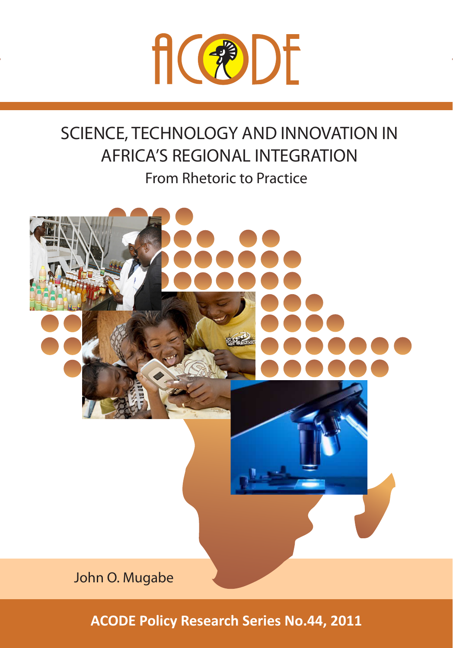

# From Rhetoric to Practice SCIENCE, TECHNOLOGY AND INNOVATION IN AFRICA'S REGIONAL INTEGRATION



**ACODE Policy Research Series No.44, 2011**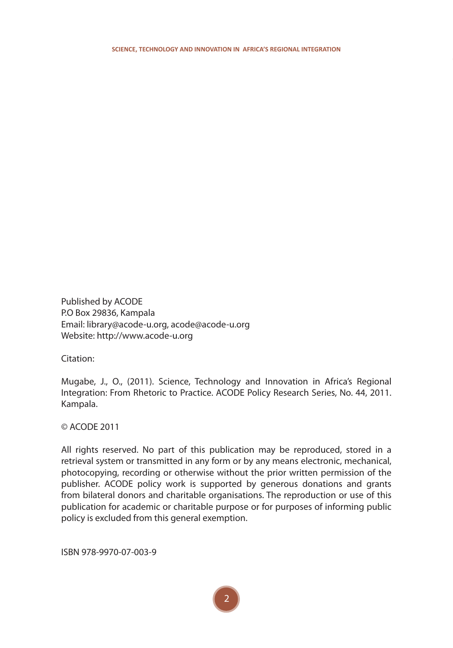Published by ACODE P.O Box 29836, Kampala Email: library@acode-u.org, acode@acode-u.org Website: http://www.acode-u.org

Citation:

Mugabe, J., O., (2011). Science, Technology and Innovation in Africa's Regional Integration: From Rhetoric to Practice. ACODE Policy Research Series, No. 44, 2011. Kampala.

© ACODE 2011

All rights reserved. No part of this publication may be reproduced, stored in a retrieval system or transmitted in any form or by any means electronic, mechanical, photocopying, recording or otherwise without the prior written permission of the publisher. ACODE policy work is supported by generous donations and grants from bilateral donors and charitable organisations. The reproduction or use of this publication for academic or charitable purpose or for purposes of informing public policy is excluded from this general exemption.

ISBN 978-9970-07-003-9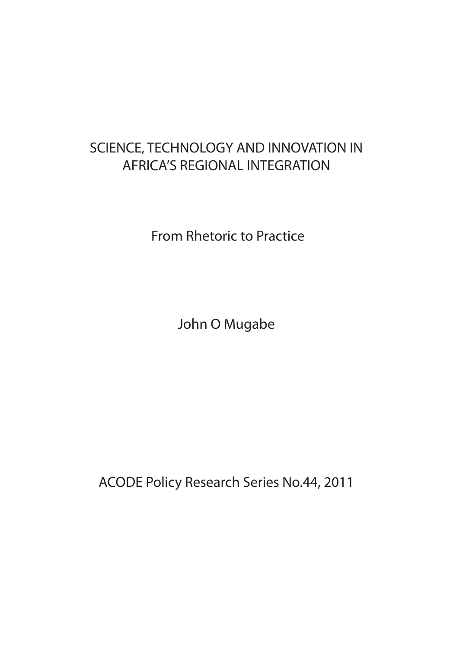# SCIENCE, TECHNOLOGY AND INNOVATION IN AFRICA'S REGIONAL INTEGRATION

From Rhetoric to Practice

John O Mugabe

ACODE Policy Research Series No.44, 2011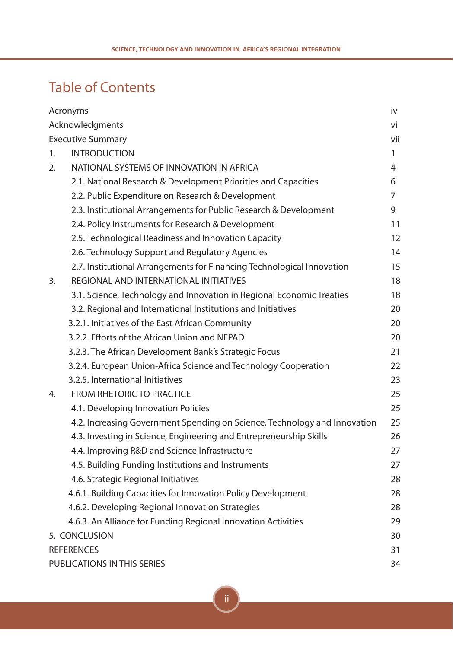# Table of Contents

| Acronyms                    |                                                                           |    |  |
|-----------------------------|---------------------------------------------------------------------------|----|--|
|                             | Acknowledgments                                                           |    |  |
| <b>Executive Summary</b>    |                                                                           |    |  |
| 1.                          | <b>INTRODUCTION</b>                                                       | 1  |  |
| 2.                          | NATIONAL SYSTEMS OF INNOVATION IN AFRICA                                  | 4  |  |
|                             | 2.1. National Research & Development Priorities and Capacities            | 6  |  |
|                             | 2.2. Public Expenditure on Research & Development                         | 7  |  |
|                             | 2.3. Institutional Arrangements for Public Research & Development         | 9  |  |
|                             | 2.4. Policy Instruments for Research & Development                        | 11 |  |
|                             | 2.5. Technological Readiness and Innovation Capacity                      | 12 |  |
|                             | 2.6. Technology Support and Regulatory Agencies                           | 14 |  |
|                             | 2.7. Institutional Arrangements for Financing Technological Innovation    | 15 |  |
| 3.                          | REGIONAL AND INTERNATIONAL INITIATIVES                                    | 18 |  |
|                             | 3.1. Science, Technology and Innovation in Regional Economic Treaties     | 18 |  |
|                             | 3.2. Regional and International Institutions and Initiatives              | 20 |  |
|                             | 3.2.1. Initiatives of the East African Community                          | 20 |  |
|                             | 3.2.2. Efforts of the African Union and NEPAD                             | 20 |  |
|                             | 3.2.3. The African Development Bank's Strategic Focus                     | 21 |  |
|                             | 3.2.4. European Union-Africa Science and Technology Cooperation           | 22 |  |
|                             | 3.2.5. International Initiatives                                          | 23 |  |
| 4.                          | <b>FROM RHETORIC TO PRACTICE</b>                                          | 25 |  |
|                             | 4.1. Developing Innovation Policies                                       | 25 |  |
|                             | 4.2. Increasing Government Spending on Science, Technology and Innovation | 25 |  |
|                             | 4.3. Investing in Science, Engineering and Entrepreneurship Skills        | 26 |  |
|                             | 4.4. Improving R&D and Science Infrastructure                             | 27 |  |
|                             | 4.5. Building Funding Institutions and Instruments                        | 27 |  |
|                             | 4.6. Strategic Regional Initiatives                                       | 28 |  |
|                             | 4.6.1. Building Capacities for Innovation Policy Development              | 28 |  |
|                             | 4.6.2. Developing Regional Innovation Strategies                          | 28 |  |
|                             | 4.6.3. An Alliance for Funding Regional Innovation Activities             | 29 |  |
|                             | 5. CONCLUSION                                                             |    |  |
|                             | <b>REFERENCES</b>                                                         |    |  |
| PUBLICATIONS IN THIS SERIES |                                                                           |    |  |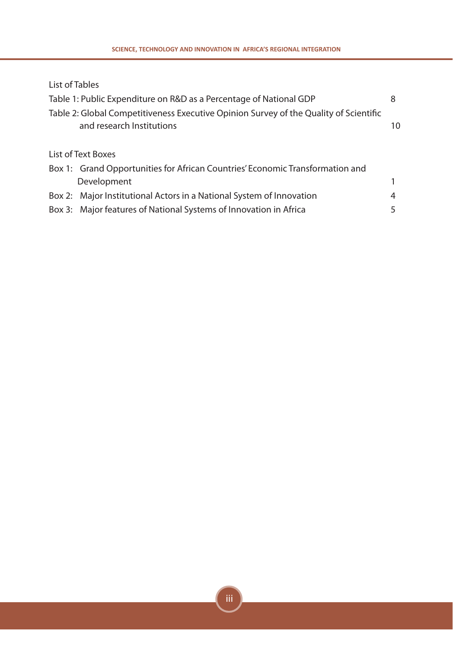List of Tables

| Table 1: Public Expenditure on R&D as a Percentage of National GDP                                                 |   |  |  |
|--------------------------------------------------------------------------------------------------------------------|---|--|--|
| Table 2: Global Competitiveness Executive Opinion Survey of the Quality of Scientific<br>and research Institutions |   |  |  |
| List of Text Boxes                                                                                                 |   |  |  |
| Box 1: Grand Opportunities for African Countries' Economic Transformation and                                      |   |  |  |
| Development                                                                                                        |   |  |  |
| Box 2: Major Institutional Actors in a National System of Innovation                                               | 4 |  |  |
| Box 3: Major features of National Systems of Innovation in Africa                                                  |   |  |  |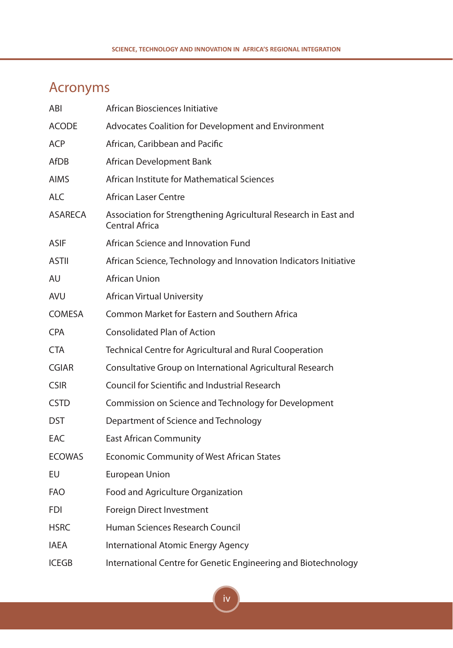# Acronyms

| African Biosciences Initiative                                                           |  |  |  |
|------------------------------------------------------------------------------------------|--|--|--|
| Advocates Coalition for Development and Environment                                      |  |  |  |
| African, Caribbean and Pacific                                                           |  |  |  |
| African Development Bank                                                                 |  |  |  |
| African Institute for Mathematical Sciences                                              |  |  |  |
| <b>African Laser Centre</b>                                                              |  |  |  |
| Association for Strengthening Agricultural Research in East and<br><b>Central Africa</b> |  |  |  |
| African Science and Innovation Fund                                                      |  |  |  |
| African Science, Technology and Innovation Indicators Initiative                         |  |  |  |
| African Union                                                                            |  |  |  |
| <b>African Virtual University</b>                                                        |  |  |  |
| Common Market for Eastern and Southern Africa                                            |  |  |  |
| <b>Consolidated Plan of Action</b>                                                       |  |  |  |
| Technical Centre for Agricultural and Rural Cooperation                                  |  |  |  |
| Consultative Group on International Agricultural Research                                |  |  |  |
| <b>Council for Scientific and Industrial Research</b>                                    |  |  |  |
| Commission on Science and Technology for Development                                     |  |  |  |
| Department of Science and Technology                                                     |  |  |  |
| <b>East African Community</b>                                                            |  |  |  |
| <b>Economic Community of West African States</b>                                         |  |  |  |
| <b>European Union</b>                                                                    |  |  |  |
| Food and Agriculture Organization                                                        |  |  |  |
| Foreign Direct Investment                                                                |  |  |  |
| Human Sciences Research Council                                                          |  |  |  |
| <b>International Atomic Energy Agency</b>                                                |  |  |  |
| International Centre for Genetic Engineering and Biotechnology                           |  |  |  |
|                                                                                          |  |  |  |

iv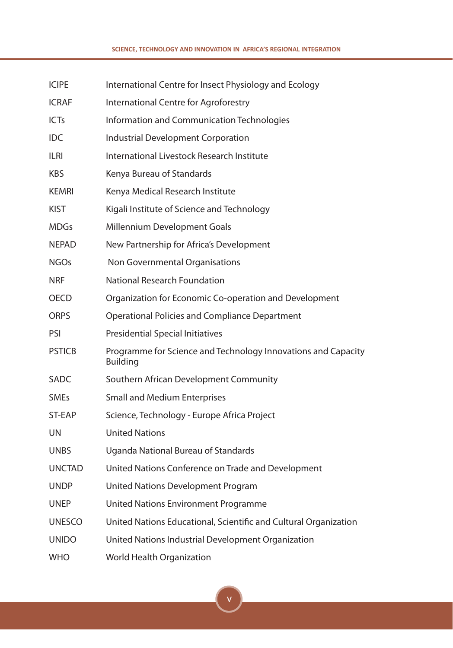#### **SCIENCE, TECHNOLOGY AND INNOVATION IN AFRICA'S REGIONAL INTEGRATION SCIENCE, TECHNOLOGY AND INNOVATION IN AFRICA'S REGIONAL INTEGRATION**

| <b>ICIPE</b>  | International Centre for Insect Physiology and Ecology                           |
|---------------|----------------------------------------------------------------------------------|
| <b>ICRAF</b>  | International Centre for Agroforestry                                            |
| <b>ICTs</b>   | Information and Communication Technologies                                       |
| <b>IDC</b>    | <b>Industrial Development Corporation</b>                                        |
| <b>ILRI</b>   | International Livestock Research Institute                                       |
| <b>KBS</b>    | Kenya Bureau of Standards                                                        |
| <b>KEMRI</b>  | Kenya Medical Research Institute                                                 |
| <b>KIST</b>   | Kigali Institute of Science and Technology                                       |
| <b>MDGs</b>   | Millennium Development Goals                                                     |
| <b>NEPAD</b>  | New Partnership for Africa's Development                                         |
| <b>NGOs</b>   | Non Governmental Organisations                                                   |
| <b>NRF</b>    | National Research Foundation                                                     |
| <b>OECD</b>   | Organization for Economic Co-operation and Development                           |
| <b>ORPS</b>   | <b>Operational Policies and Compliance Department</b>                            |
| PSI           | Presidential Special Initiatives                                                 |
| <b>PSTICB</b> | Programme for Science and Technology Innovations and Capacity<br><b>Building</b> |
| SADC          | Southern African Development Community                                           |
| <b>SMEs</b>   | <b>Small and Medium Enterprises</b>                                              |
| ST-EAP        | Science, Technology - Europe Africa Project                                      |
| UN            | <b>United Nations</b>                                                            |
| <b>UNBS</b>   | Uganda National Bureau of Standards                                              |
| <b>UNCTAD</b> | United Nations Conference on Trade and Development                               |
| <b>UNDP</b>   | United Nations Development Program                                               |
| <b>UNEP</b>   | United Nations Environment Programme                                             |
| <b>UNESCO</b> | United Nations Educational, Scientific and Cultural Organization                 |
| <b>UNIDO</b>  | United Nations Industrial Development Organization                               |
| <b>WHO</b>    | World Health Organization                                                        |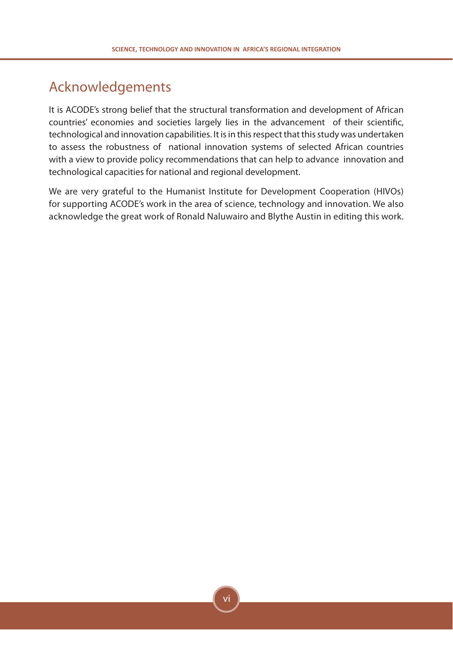## Acknowledgements

It is ACODE's strong belief that the structural transformation and development of African countries' economies and societies largely lies in the advancement of their scientific, technological and innovation capabilities. It is in this respect that this study was undertaken to assess the robustness of national innovation systems of selected African countries with a view to provide policy recommendations that can help to advance innovation and technological capacities for national and regional development.

We are very grateful to the Humanist Institute for Development Cooperation (HIVOs) for supporting ACODE's work in the area of science, technology and innovation. We also acknowledge the great work of Ronald Naluwairo and Blythe Austin in editing this work.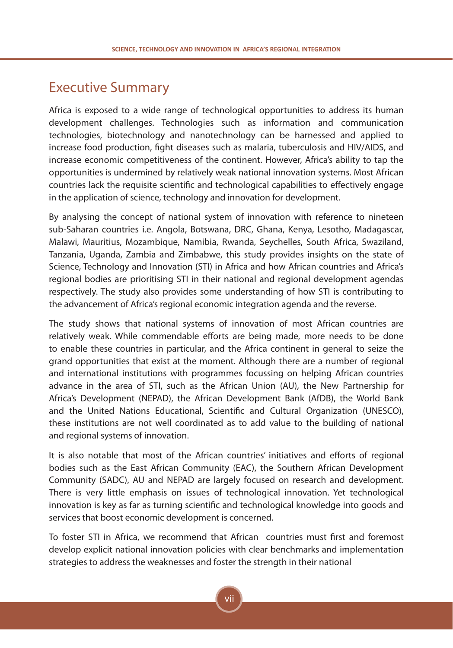## Executive Summary

Africa is exposed to a wide range of technological opportunities to address its human development challenges. Technologies such as information and communication technologies, biotechnology and nanotechnology can be harnessed and applied to increase food production, fight diseases such as malaria, tuberculosis and HIV/AIDS, and increase economic competitiveness of the continent. However, Africa's ability to tap the opportunities is undermined by relatively weak national innovation systems. Most African countries lack the requisite scientific and technological capabilities to effectively engage in the application of science, technology and innovation for development.

By analysing the concept of national system of innovation with reference to nineteen sub-Saharan countries i.e. Angola, Botswana, DRC, Ghana, Kenya, Lesotho, Madagascar, Malawi, Mauritius, Mozambique, Namibia, Rwanda, Seychelles, South Africa, Swaziland, Tanzania, Uganda, Zambia and Zimbabwe, this study provides insights on the state of Science, Technology and Innovation (STI) in Africa and how African countries and Africa's regional bodies are prioritising STI in their national and regional development agendas respectively. The study also provides some understanding of how STI is contributing to the advancement of Africa's regional economic integration agenda and the reverse.

The study shows that national systems of innovation of most African countries are relatively weak. While commendable efforts are being made, more needs to be done to enable these countries in particular, and the Africa continent in general to seize the grand opportunities that exist at the moment. Although there are a number of regional and international institutions with programmes focussing on helping African countries advance in the area of STI, such as the African Union (AU), the New Partnership for Africa's Development (NEPAD), the African Development Bank (AfDB), the World Bank and the United Nations Educational, Scientific and Cultural Organization (UNESCO), these institutions are not well coordinated as to add value to the building of national and regional systems of innovation.

It is also notable that most of the African countries' initiatives and efforts of regional bodies such as the East African Community (EAC), the Southern African Development Community (SADC), AU and NEPAD are largely focused on research and development. There is very little emphasis on issues of technological innovation. Yet technological innovation is key as far as turning scientific and technological knowledge into goods and services that boost economic development is concerned.

To foster STI in Africa, we recommend that African countries must first and foremost develop explicit national innovation policies with clear benchmarks and implementation strategies to address the weaknesses and foster the strength in their national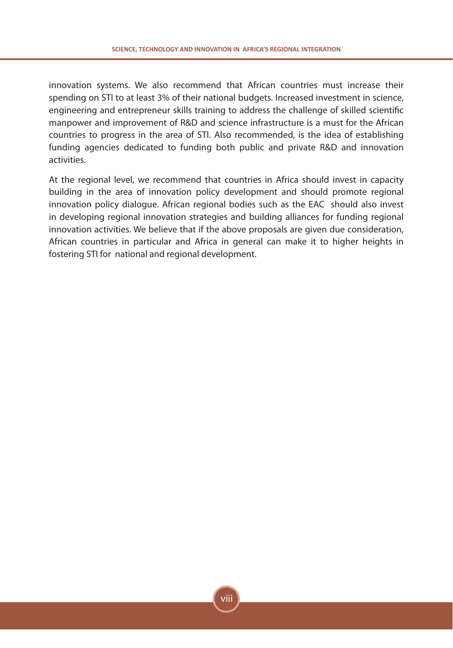innovation systems. We also recommend that African countries must increase their spending on STI to at least 3% of their national budgets. Increased investment in science, engineering and entrepreneur skills training to address the challenge of skilled scientific manpower and improvement of R&D and science infrastructure is a must for the African countries to progress in the area of STI. Also recommended, is the idea of establishing funding agencies dedicated to funding both public and private R&D and innovation activities.

At the regional level, we recommend that countries in Africa should invest in capacity building in the area of innovation policy development and should promote regional innovation policy dialogue. African regional bodies such as the EAC should also invest in developing regional innovation strategies and building alliances for funding regional innovation activities. We believe that if the above proposals are given due consideration, African countries in particular and Africa in general can make it to higher heights in fostering STI for national and regional development.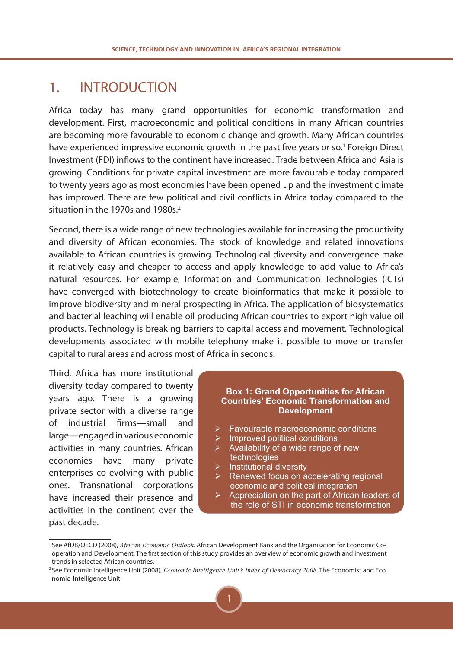### 1. INTRODUCTION

Africa today has many grand opportunities for economic transformation and development. First, macroeconomic and political conditions in many African countries are becoming more favourable to economic change and growth. Many African countries have experienced impressive economic growth in the past five years or so.<sup>1</sup> Foreign Direct Investment (FDI) inflows to the continent have increased. Trade between Africa and Asia is growing. Conditions for private capital investment are more favourable today compared to twenty years ago as most economies have been opened up and the investment climate has improved. There are few political and civil conflicts in Africa today compared to the situation in the 1970s and 1980s.<sup>2</sup>

Second, there is a wide range of new technologies available for increasing the productivity and diversity of African economies. The stock of knowledge and related innovations available to African countries is growing. Technological diversity and convergence make it relatively easy and cheaper to access and apply knowledge to add value to Africa's natural resources. For example, Information and Communication Technologies (ICTs) have converged with biotechnology to create bioinformatics that make it possible to improve biodiversity and mineral prospecting in Africa. The application of biosystematics and bacterial leaching will enable oil producing African countries to export high value oil products. Technology is breaking barriers to capital access and movement. Technological developments associated with mobile telephony make it possible to move or transfer capital to rural areas and across most of Africa in seconds.

Third, Africa has more institutional diversity today compared to twenty years ago. There is a growing private sector with a diverse range of industrial firms—small and large—engaged in various economic activities in many countries. African economies have many private enterprises co-evolving with public ones. Transnational corporations have increased their presence and activities in the continent over the past decade.

#### **Box 1: Grand Opportunities for African Countries' Economic Transformation and Development**

- Favourable macroeconomic conditions
- Improved political conditions
- Availability of a wide range of new technologies
- $\triangleright$  Institutional diversity
- $\triangleright$  Renewed focus on accelerating regional economic and political integration
- $\triangleright$  Appreciation on the part of African leaders of the role of STI in economic transformation

 $\sim$  1  $\sim$  1  $\sim$  1  $\sim$  1  $\sim$  1  $\sim$  1  $\sim$ 

<sup>1</sup> See AfDB/OECD (2008), *African Economic Outlook*. African Development Bank and the Organisation for Economic Co operation and Development. The first section of this study provides an overview of economic growth and investment trends in selected African countries.

<sup>2</sup> See Economic Intelligence Unit (2008), *Economic Intelligence Unit's Index of Democracy 2008*. The Economist and Eco nomic Intelligence Unit.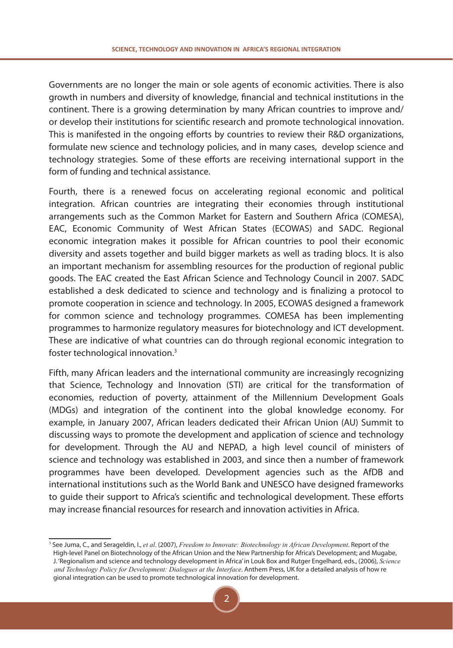Governments are no longer the main or sole agents of economic activities. There is also growth in numbers and diversity of knowledge, financial and technical institutions in the continent. There is a growing determination by many African countries to improve and/ or develop their institutions for scientific research and promote technological innovation. This is manifested in the ongoing efforts by countries to review their R&D organizations, formulate new science and technology policies, and in many cases, develop science and technology strategies. Some of these efforts are receiving international support in the form of funding and technical assistance.

Fourth, there is a renewed focus on accelerating regional economic and political integration. African countries are integrating their economies through institutional arrangements such as the Common Market for Eastern and Southern Africa (COMESA), EAC, Economic Community of West African States (ECOWAS) and SADC. Regional economic integration makes it possible for African countries to pool their economic diversity and assets together and build bigger markets as well as trading blocs. It is also an important mechanism for assembling resources for the production of regional public goods. The EAC created the East African Science and Technology Council in 2007. SADC established a desk dedicated to science and technology and is finalizing a protocol to promote cooperation in science and technology. In 2005, ECOWAS designed a framework for common science and technology programmes. COMESA has been implementing programmes to harmonize regulatory measures for biotechnology and ICT development. These are indicative of what countries can do through regional economic integration to foster technological innovation.3

Fifth, many African leaders and the international community are increasingly recognizing that Science, Technology and Innovation (STI) are critical for the transformation of economies, reduction of poverty, attainment of the Millennium Development Goals (MDGs) and integration of the continent into the global knowledge economy. For example, in January 2007, African leaders dedicated their African Union (AU) Summit to discussing ways to promote the development and application of science and technology for development. Through the AU and NEPAD, a high level council of ministers of science and technology was established in 2003, and since then a number of framework programmes have been developed. Development agencies such as the AfDB and international institutions such as the World Bank and UNESCO have designed frameworks to guide their support to Africa's scientific and technological development. These efforts may increase financial resources for research and innovation activities in Africa.

<sup>3</sup> See Juma, C., and Serageldin, I., *et al*. (2007), *Freedom to Innovate: Biotechnology in African Development*. Report of the High-level Panel on Biotechnology of the African Union and the New Partnership for Africa's Development; and Mugabe, J. 'Regionalism and science and technology development in Africa' in Louk Box and Rutger Engelhard, eds., (2006), *Science and Technology Policy for Development: Dialogues at the Interface*. Anthem Press, UK for a detailed analysis of how re gional integration can be used to promote technological innovation for development.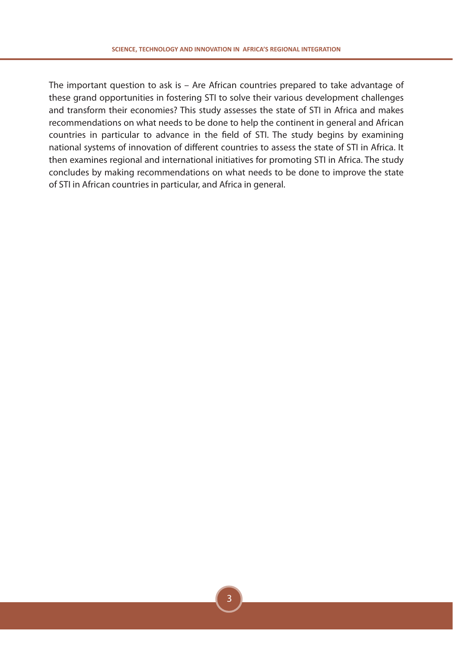The important question to ask is – Are African countries prepared to take advantage of these grand opportunities in fostering STI to solve their various development challenges and transform their economies? This study assesses the state of STI in Africa and makes recommendations on what needs to be done to help the continent in general and African countries in particular to advance in the field of STI. The study begins by examining national systems of innovation of different countries to assess the state of STI in Africa. It then examines regional and international initiatives for promoting STI in Africa. The study concludes by making recommendations on what needs to be done to improve the state of STI in African countries in particular, and Africa in general.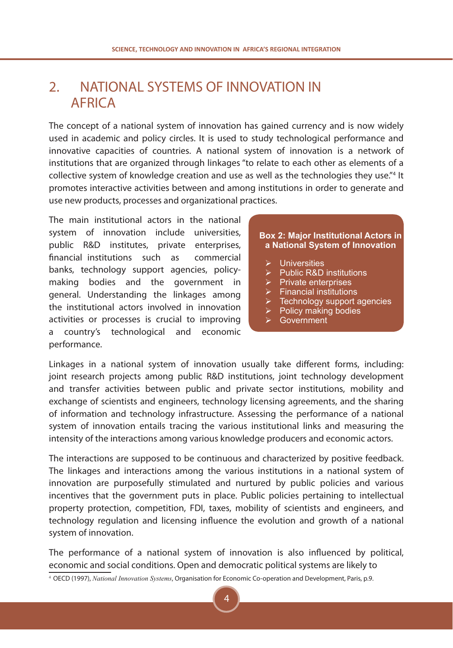## 2. NATIONAL SYSTEMS OF INNOVATION IN **AFRICA**

The concept of a national system of innovation has gained currency and is now widely used in academic and policy circles. It is used to study technological performance and innovative capacities of countries. A national system of innovation is a network of institutions that are organized through linkages "to relate to each other as elements of a collective system of knowledge creation and use as well as the technologies they use."<sup>4</sup> It promotes interactive activities between and among institutions in order to generate and use new products, processes and organizational practices.

The main institutional actors in the national system of innovation include universities, public R&D institutes, private enterprises, financial institutions such as commercial banks, technology support agencies, policymaking bodies and the government in general. Understanding the linkages among the institutional actors involved in innovation activities or processes is crucial to improving a country's technological and economic performance.

#### **Box 2: Major Institutional Actors in a National System of Innovation**

- $\triangleright$  Universities
- $\triangleright$  Public R&D institutions
- Private enterprises
- Financial institutions
- $\triangleright$  Technology support agencies
- $\triangleright$  Policy making bodies
- Government

Linkages in a national system of innovation usually take different forms, including: joint research projects among public R&D institutions, joint technology development and transfer activities between public and private sector institutions, mobility and exchange of scientists and engineers, technology licensing agreements, and the sharing of information and technology infrastructure. Assessing the performance of a national system of innovation entails tracing the various institutional links and measuring the intensity of the interactions among various knowledge producers and economic actors.

The interactions are supposed to be continuous and characterized by positive feedback. The linkages and interactions among the various institutions in a national system of innovation are purposefully stimulated and nurtured by public policies and various incentives that the government puts in place. Public policies pertaining to intellectual property protection, competition, FDI, taxes, mobility of scientists and engineers, and technology regulation and licensing influence the evolution and growth of a national system of innovation.

The performance of a national system of innovation is also influenced by political, economic and social conditions. Open and democratic political systems are likely to

<sup>4</sup> OECD (1997), *National Innovation Systems*, Organisation for Economic Co-operation and Development, Paris, p.9.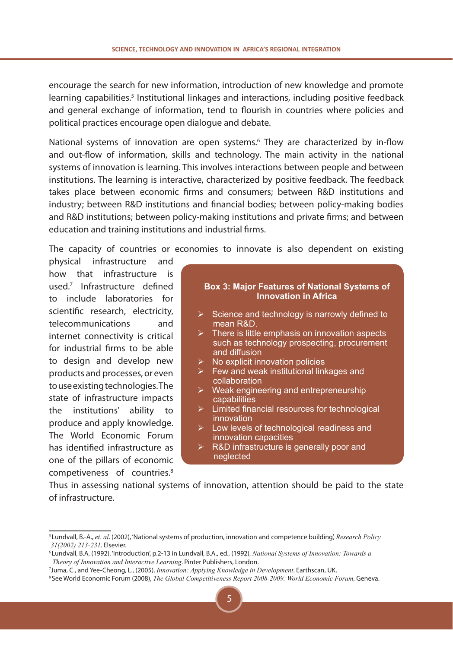encourage the search for new information, introduction of new knowledge and promote learning capabilities.<sup>5</sup> Institutional linkages and interactions, including positive feedback and general exchange of information, tend to flourish in countries where policies and political practices encourage open dialogue and debate.

National systems of innovation are open systems.<sup>6</sup> They are characterized by in-flow and out-flow of information, skills and technology. The main activity in the national systems of innovation is learning. This involves interactions between people and between institutions. The learning is interactive, characterized by positive feedback. The feedback takes place between economic firms and consumers; between R&D institutions and industry; between R&D institutions and financial bodies; between policy-making bodies and R&D institutions; between policy-making institutions and private firms; and between education and training institutions and industrial firms.

The capacity of countries or economies to innovate is also dependent on existing

physical infrastructure and how that infrastructure is used.7 Infrastructure defined to include laboratories for scientific research, electricity, telecommunications and internet connectivity is critical for industrial firms to be able to design and develop new products and processes, or even to use existing technologies. The state of infrastructure impacts the institutions' ability to produce and apply knowledge. The World Economic Forum has identified infrastructure as one of the pillars of economic competiveness of countries.8

#### **Box 3: Major Features of National Systems of Innovation in Africa**

- $\triangleright$  Science and technology is narrowly defined to mean R&D.
- $\triangleright$  There is little emphasis on innovation aspects such as technology prospecting, procurement and diffusion
- $\triangleright$  No explicit innovation policies
- $\triangleright$  Few and weak institutional linkages and collaboration
- $\triangleright$  Weak engineering and entrepreneurship capabilities
- $\triangleright$  Limited financial resources for technological innovation
- $\triangleright$  Low levels of technological readiness and innovation capacities
- $\triangleright$  R&D infrastructure is generally poor and neglected

Thus in assessing national systems of innovation, attention should be paid to the state of infrastructure.

<sup>5</sup> Lundvall, B.-A., *et. al*. (2002), 'National systems of production, innovation and competence building', *Research Policy 31(2002) 213-231*. Elsevier.

<sup>6</sup> Lundvall, B.A, (1992), 'Introduction', p.2-13 in Lundvall, B.A., ed., (1992), *National Systems of Innovation: Towards a Theory of Innovation and Interactive Learning*. Pinter Publishers, London.

<sup>7</sup> Juma, C., and Yee-Cheong, L., (2005), *Innovation: Applying Knowledge in Development*. Earthscan, UK.

<sup>8</sup> See World Economic Forum (2008), *The Global Competitiveness Report 2008-2009. World Economic Forum*, Geneva.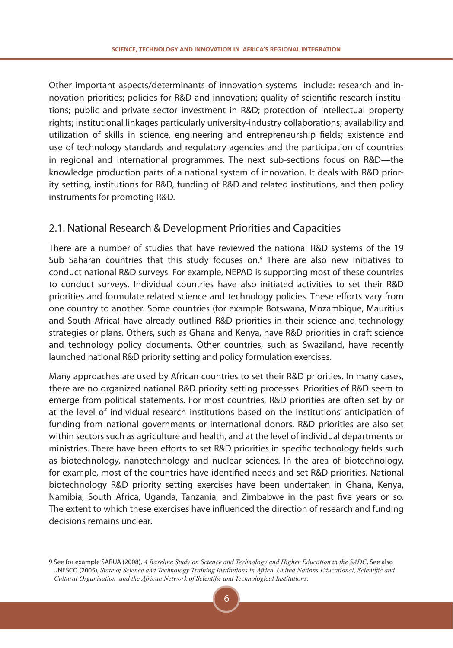Other important aspects/determinants of innovation systems include: research and innovation priorities; policies for R&D and innovation; quality of scientific research institutions; public and private sector investment in R&D; protection of intellectual property rights; institutional linkages particularly university-industry collaborations; availability and utilization of skills in science, engineering and entrepreneurship fields; existence and use of technology standards and regulatory agencies and the participation of countries in regional and international programmes. The next sub-sections focus on R&D—the knowledge production parts of a national system of innovation. It deals with R&D priority setting, institutions for R&D, funding of R&D and related institutions, and then policy instruments for promoting R&D.

#### 2.1. National Research & Development Priorities and Capacities

There are a number of studies that have reviewed the national R&D systems of the 19 Sub Saharan countries that this study focuses on.<sup>9</sup> There are also new initiatives to conduct national R&D surveys. For example, NEPAD is supporting most of these countries to conduct surveys. Individual countries have also initiated activities to set their R&D priorities and formulate related science and technology policies. These efforts vary from one country to another. Some countries (for example Botswana, Mozambique, Mauritius and South Africa) have already outlined R&D priorities in their science and technology strategies or plans. Others, such as Ghana and Kenya, have R&D priorities in draft science and technology policy documents. Other countries, such as Swaziland, have recently launched national R&D priority setting and policy formulation exercises.

Many approaches are used by African countries to set their R&D priorities. In many cases, there are no organized national R&D priority setting processes. Priorities of R&D seem to emerge from political statements. For most countries, R&D priorities are often set by or at the level of individual research institutions based on the institutions' anticipation of funding from national governments or international donors. R&D priorities are also set within sectors such as agriculture and health, and at the level of individual departments or ministries. There have been efforts to set R&D priorities in specific technology fields such as biotechnology, nanotechnology and nuclear sciences. In the area of biotechnology, for example, most of the countries have identified needs and set R&D priorities. National biotechnology R&D priority setting exercises have been undertaken in Ghana, Kenya, Namibia, South Africa, Uganda, Tanzania, and Zimbabwe in the past five years or so. The extent to which these exercises have influenced the direction of research and funding decisions remains unclear.

<sup>9</sup> See for example SARUA (2008), *A Baseline Study on Science and Technology and Higher Education in the SADC*. See also UNESCO (2005), *State of Science and Technology Training Institutions in Africa*, *United Nations Educational, Scientific and Cultural Organisation and the African Network of Scientific and Technological Institutions.*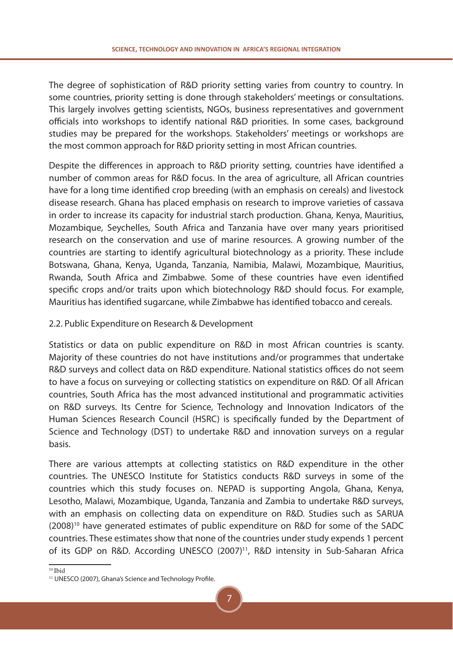The degree of sophistication of R&D priority setting varies from country to country. In some countries, priority setting is done through stakeholders' meetings or consultations. This largely involves getting scientists, NGOs, business representatives and government officials into workshops to identify national R&D priorities. In some cases, background studies may be prepared for the workshops. Stakeholders' meetings or workshops are the most common approach for R&D priority setting in most African countries.

Despite the differences in approach to R&D priority setting, countries have identified a number of common areas for R&D focus. In the area of agriculture, all African countries have for a long time identified crop breeding (with an emphasis on cereals) and livestock disease research. Ghana has placed emphasis on research to improve varieties of cassava in order to increase its capacity for industrial starch production. Ghana, Kenya, Mauritius, Mozambique, Seychelles, South Africa and Tanzania have over many years prioritised research on the conservation and use of marine resources. A growing number of the countries are starting to identify agricultural biotechnology as a priority. These include Botswana, Ghana, Kenya, Uganda, Tanzania, Namibia, Malawi, Mozambique, Mauritius, Rwanda, South Africa and Zimbabwe. Some of these countries have even identified specific crops and/or traits upon which biotechnology R&D should focus. For example, Mauritius has identified sugarcane, while Zimbabwe has identified tobacco and cereals.

#### 2.2. Public Expenditure on Research & Development

Statistics or data on public expenditure on R&D in most African countries is scanty. Majority of these countries do not have institutions and/or programmes that undertake R&D surveys and collect data on R&D expenditure. National statistics offices do not seem to have a focus on surveying or collecting statistics on expenditure on R&D. Of all African countries, South Africa has the most advanced institutional and programmatic activities on R&D surveys. Its Centre for Science, Technology and Innovation Indicators of the Human Sciences Research Council (HSRC) is specifically funded by the Department of Science and Technology (DST) to undertake R&D and innovation surveys on a regular basis.

There are various attempts at collecting statistics on R&D expenditure in the other countries. The UNESCO Institute for Statistics conducts R&D surveys in some of the countries which this study focuses on. NEPAD is supporting Angola, Ghana, Kenya, Lesotho, Malawi, Mozambique, Uganda, Tanzania and Zambia to undertake R&D surveys, with an emphasis on collecting data on expenditure on R&D. Studies such as SARUA  $(2008)^{10}$  have generated estimates of public expenditure on R&D for some of the SADC countries. These estimates show that none of the countries under study expends 1 percent of its GDP on R&D. According UNESCO (2007)<sup>11</sup>, R&D intensity in Sub-Saharan Africa

<u>for the contract of the contract of the contract of the contract of the contract of the contract of the contract of the contract of the contract of the contract of the contract of the contract of the contract of the contr</u>

 $10$  Ibid

<sup>&</sup>lt;sup>11</sup> UNESCO (2007), Ghana's Science and Technology Profile.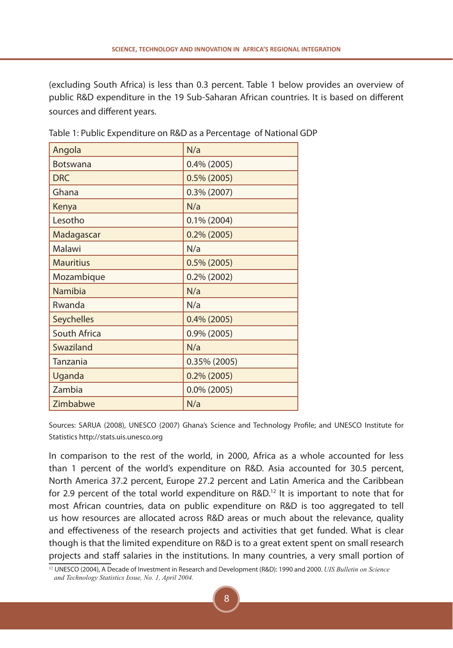(excluding South Africa) is less than 0.3 percent. Table 1 below provides an overview of public R&D expenditure in the 19 Sub-Saharan African countries. It is based on different sources and different years.

| Angola            | N/a             |  |
|-------------------|-----------------|--|
| <b>Botswana</b>   | $0.4\%$ (2005)  |  |
| <b>DRC</b>        | $0.5\%$ (2005)  |  |
| Ghana             | $0.3\%$ (2007)  |  |
| Kenya             | N/a             |  |
| Lesotho           | $0.1\%$ (2004)  |  |
| Madagascar        | $0.2\%$ (2005)  |  |
| Malawi            | N/a             |  |
| <b>Mauritius</b>  | $0.5\%$ (2005)  |  |
| Mozambique        | $0.2\%$ (2002)  |  |
| Namibia           | N/a             |  |
| Rwanda            | N/a             |  |
| <b>Seychelles</b> | $0.4\%$ (2005)  |  |
| South Africa      | $0.9\%$ (2005)  |  |
| Swaziland         | N/a             |  |
| Tanzania          | $0.35\%$ (2005) |  |
| Uganda            | $0.2\%$ (2005)  |  |
| Zambia            | $0.0\%$ (2005)  |  |
| Zimbabwe          | N/a             |  |

Table 1: Public Expenditure on R&D as a Percentage of National GDP

Sources: SARUA (2008), UNESCO (2007) Ghana's Science and Technology Profile; and UNESCO Institute for Statistics http://stats.uis.unesco.org

In comparison to the rest of the world, in 2000, Africa as a whole accounted for less than 1 percent of the world's expenditure on R&D. Asia accounted for 30.5 percent, North America 37.2 percent, Europe 27.2 percent and Latin America and the Caribbean for 2.9 percent of the total world expenditure on R&D.<sup>12</sup> It is important to note that for most African countries, data on public expenditure on R&D is too aggregated to tell us how resources are allocated across R&D areas or much about the relevance, quality and effectiveness of the research projects and activities that get funded. What is clear though is that the limited expenditure on R&D is to a great extent spent on small research projects and staff salaries in the institutions. In many countries, a very small portion of

<sup>12</sup> UNESCO (2004), A Decade of Investment in Research and Development (R&D): 1990 and 2000. *UIS Bulletin on Science and Technology Statistics Issue, No. 1, April 2004.*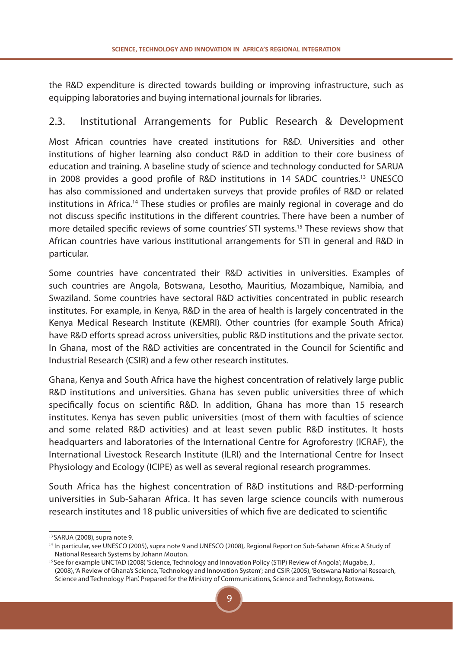the R&D expenditure is directed towards building or improving infrastructure, such as equipping laboratories and buying international journals for libraries.

#### 2.3. Institutional Arrangements for Public Research & Development

Most African countries have created institutions for R&D. Universities and other institutions of higher learning also conduct R&D in addition to their core business of education and training. A baseline study of science and technology conducted for SARUA in 2008 provides a good profile of R&D institutions in 14 SADC countries.13 UNESCO has also commissioned and undertaken surveys that provide profiles of R&D or related institutions in Africa.14 These studies or profiles are mainly regional in coverage and do not discuss specific institutions in the different countries. There have been a number of more detailed specific reviews of some countries' STI systems.15 These reviews show that African countries have various institutional arrangements for STI in general and R&D in particular.

Some countries have concentrated their R&D activities in universities. Examples of such countries are Angola, Botswana, Lesotho, Mauritius, Mozambique, Namibia, and Swaziland. Some countries have sectoral R&D activities concentrated in public research institutes. For example, in Kenya, R&D in the area of health is largely concentrated in the Kenya Medical Research Institute (KEMRI). Other countries (for example South Africa) have R&D efforts spread across universities, public R&D institutions and the private sector. In Ghana, most of the R&D activities are concentrated in the Council for Scientific and Industrial Research (CSIR) and a few other research institutes.

Ghana, Kenya and South Africa have the highest concentration of relatively large public R&D institutions and universities. Ghana has seven public universities three of which specifically focus on scientific R&D. In addition, Ghana has more than 15 research institutes. Kenya has seven public universities (most of them with faculties of science and some related R&D activities) and at least seven public R&D institutes. It hosts headquarters and laboratories of the International Centre for Agroforestry (ICRAF), the International Livestock Research Institute (ILRI) and the International Centre for Insect Physiology and Ecology (ICIPE) as well as several regional research programmes.

South Africa has the highest concentration of R&D institutions and R&D-performing universities in Sub-Saharan Africa. It has seven large science councils with numerous research institutes and 18 public universities of which five are dedicated to scientific

<sup>13</sup> SARUA (2008), supra note 9.

<sup>14</sup> In particular, see UNESCO (2005), supra note 9 and UNESCO (2008), Regional Report on Sub-Saharan Africa: A Study of National Research Systems by Johann Mouton.

<sup>&</sup>lt;sup>15</sup> See for example UNCTAD (2008) 'Science, Technology and Innovation Policy (STIP) Review of Angola'; Mugabe, J., (2008), 'A Review of Ghana's Science, Technology and Innovation System'; and CSIR (2005), 'Botswana National Research, Science and Technology Plan'. Prepared for the Ministry of Communications, Science and Technology, Botswana.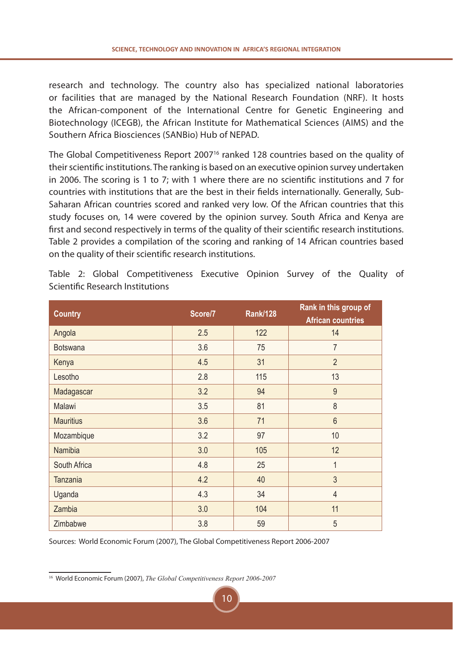research and technology. The country also has specialized national laboratories or facilities that are managed by the National Research Foundation (NRF). It hosts the African-component of the International Centre for Genetic Engineering and Biotechnology (ICEGB), the African Institute for Mathematical Sciences (AIMS) and the Southern Africa Biosciences (SANBio) Hub of NEPAD.

The Global Competitiveness Report 2007<sup>16</sup> ranked 128 countries based on the quality of their scientific institutions. The ranking is based on an executive opinion survey undertaken in 2006. The scoring is 1 to 7; with 1 where there are no scientific institutions and 7 for countries with institutions that are the best in their fields internationally. Generally, Sub-Saharan African countries scored and ranked very low. Of the African countries that this study focuses on, 14 were covered by the opinion survey. South Africa and Kenya are first and second respectively in terms of the quality of their scientific research institutions. Table 2 provides a compilation of the scoring and ranking of 14 African countries based on the quality of their scientific research institutions.

| <b>Country</b>   | Score/7 | <b>Rank/128</b> | Rank in this group of<br><b>African countries</b> |
|------------------|---------|-----------------|---------------------------------------------------|
| Angola           | 2.5     | 122             | 14                                                |
| <b>Botswana</b>  | 3.6     | 75              | $\overline{7}$                                    |
| Kenya            | 4.5     | 31              | $\overline{2}$                                    |
| Lesotho          | 2.8     | 115             | 13                                                |
| Madagascar       | 3.2     | 94              | $\overline{9}$                                    |
| Malawi           | 3.5     | 81              | 8                                                 |
| <b>Mauritius</b> | 3.6     | 71              | $6\phantom{a}$                                    |
| Mozambique       | 3.2     | 97              | 10                                                |
| Namibia          | 3.0     | 105             | 12                                                |
| South Africa     | 4.8     | 25              | 1                                                 |
| <b>Tanzania</b>  | 4.2     | 40              | $\mathbf{3}$                                      |
| Uganda           | 4.3     | 34              | $\overline{4}$                                    |
| Zambia           | 3.0     | 104             | 11                                                |
| Zimbabwe         | 3.8     | 59              | 5                                                 |

Table 2: Global Competitiveness Executive Opinion Survey of the Quality of Scientific Research Institutions

Sources: World Economic Forum (2007), The Global Competitiveness Report 2006-2007

<sup>16</sup> World Economic Forum (2007), *The Global Competitiveness Report 2006-2007*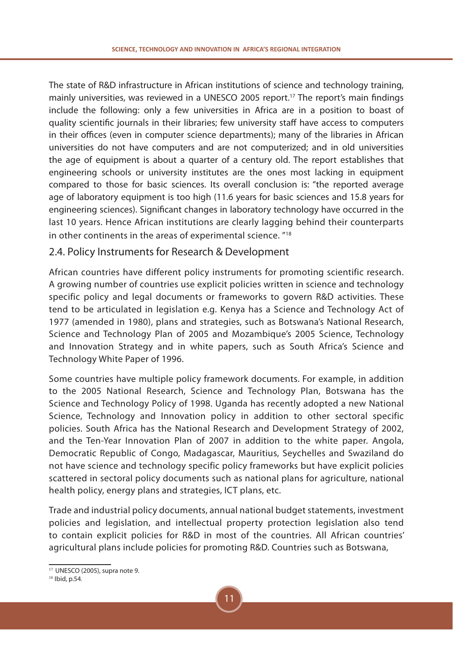The state of R&D infrastructure in African institutions of science and technology training, mainly universities, was reviewed in a UNESCO 2005 report.17 The report's main findings include the following: only a few universities in Africa are in a position to boast of quality scientific journals in their libraries; few university staff have access to computers in their offices (even in computer science departments); many of the libraries in African universities do not have computers and are not computerized; and in old universities the age of equipment is about a quarter of a century old. The report establishes that engineering schools or university institutes are the ones most lacking in equipment compared to those for basic sciences. Its overall conclusion is: "the reported average age of laboratory equipment is too high (11.6 years for basic sciences and 15.8 years for engineering sciences). Significant changes in laboratory technology have occurred in the last 10 years. Hence African institutions are clearly lagging behind their counterparts in other continents in the areas of experimental science. "18

#### 2.4. Policy Instruments for Research & Development

African countries have different policy instruments for promoting scientific research. A growing number of countries use explicit policies written in science and technology specific policy and legal documents or frameworks to govern R&D activities. These tend to be articulated in legislation e.g. Kenya has a Science and Technology Act of 1977 (amended in 1980), plans and strategies, such as Botswana's National Research, Science and Technology Plan of 2005 and Mozambique's 2005 Science, Technology and Innovation Strategy and in white papers, such as South Africa's Science and Technology White Paper of 1996.

Some countries have multiple policy framework documents. For example, in addition to the 2005 National Research, Science and Technology Plan, Botswana has the Science and Technology Policy of 1998. Uganda has recently adopted a new National Science, Technology and Innovation policy in addition to other sectoral specific policies. South Africa has the National Research and Development Strategy of 2002, and the Ten-Year Innovation Plan of 2007 in addition to the white paper. Angola, Democratic Republic of Congo, Madagascar, Mauritius, Seychelles and Swaziland do not have science and technology specific policy frameworks but have explicit policies scattered in sectoral policy documents such as national plans for agriculture, national health policy, energy plans and strategies, ICT plans, etc.

Trade and industrial policy documents, annual national budget statements, investment policies and legislation, and intellectual property protection legislation also tend to contain explicit policies for R&D in most of the countries. All African countries' agricultural plans include policies for promoting R&D. Countries such as Botswana,

<sup>17</sup> UNESCO (2005), supra note 9.

<sup>18</sup> Ibid, p.54*.*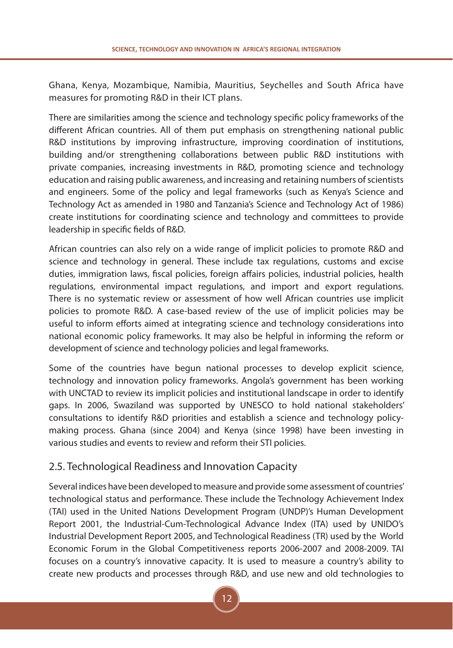Ghana, Kenya, Mozambique, Namibia, Mauritius, Seychelles and South Africa have measures for promoting R&D in their ICT plans.

There are similarities among the science and technology specific policy frameworks of the different African countries. All of them put emphasis on strengthening national public R&D institutions by improving infrastructure, improving coordination of institutions, building and/or strengthening collaborations between public R&D institutions with private companies, increasing investments in R&D, promoting science and technology education and raising public awareness, and increasing and retaining numbers of scientists and engineers. Some of the policy and legal frameworks (such as Kenya's Science and Technology Act as amended in 1980 and Tanzania's Science and Technology Act of 1986) create institutions for coordinating science and technology and committees to provide leadership in specific fields of R&D.

African countries can also rely on a wide range of implicit policies to promote R&D and science and technology in general. These include tax regulations, customs and excise duties, immigration laws, fiscal policies, foreign affairs policies, industrial policies, health regulations, environmental impact regulations, and import and export regulations. There is no systematic review or assessment of how well African countries use implicit policies to promote R&D. A case-based review of the use of implicit policies may be useful to inform efforts aimed at integrating science and technology considerations into national economic policy frameworks. It may also be helpful in informing the reform or development of science and technology policies and legal frameworks.

Some of the countries have begun national processes to develop explicit science, technology and innovation policy frameworks. Angola's government has been working with UNCTAD to review its implicit policies and institutional landscape in order to identify gaps. In 2006, Swaziland was supported by UNESCO to hold national stakeholders' consultations to identify R&D priorities and establish a science and technology policymaking process. Ghana (since 2004) and Kenya (since 1998) have been investing in various studies and events to review and reform their STI policies.

#### 2.5. Technological Readiness and Innovation Capacity

Several indices have been developed to measure and provide some assessment of countries' technological status and performance. These include the Technology Achievement Index (TAI) used in the United Nations Development Program (UNDP)'s Human Development Report 2001, the Industrial-Cum-Technological Advance Index (ITA) used by UNIDO's Industrial Development Report 2005, and Technological Readiness (TR) used by the World Economic Forum in the Global Competitiveness reports 2006-2007 and 2008-2009. TAI focuses on a country's innovative capacity. It is used to measure a country's ability to create new products and processes through R&D, and use new and old technologies to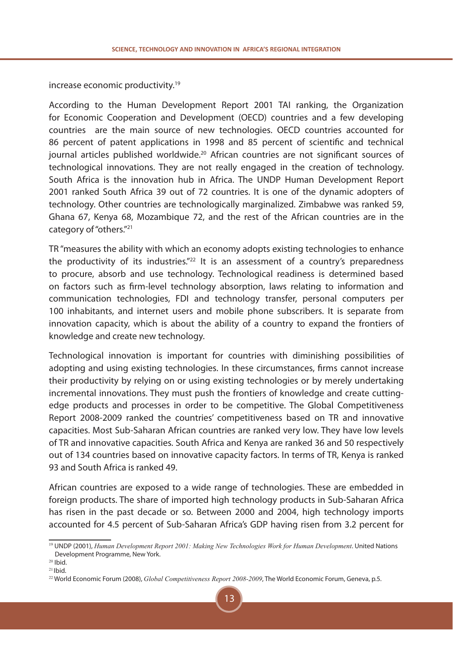increase economic productivity.19

According to the Human Development Report 2001 TAI ranking, the Organization for Economic Cooperation and Development (OECD) countries and a few developing countries are the main source of new technologies. OECD countries accounted for 86 percent of patent applications in 1998 and 85 percent of scientific and technical journal articles published worldwide.<sup>20</sup> African countries are not significant sources of technological innovations. They are not really engaged in the creation of technology. South Africa is the innovation hub in Africa. The UNDP Human Development Report 2001 ranked South Africa 39 out of 72 countries. It is one of the dynamic adopters of technology. Other countries are technologically marginalized. Zimbabwe was ranked 59, Ghana 67, Kenya 68, Mozambique 72, and the rest of the African countries are in the category of "others."21

TR "measures the ability with which an economy adopts existing technologies to enhance the productivity of its industries." $22$  It is an assessment of a country's preparedness to procure, absorb and use technology. Technological readiness is determined based on factors such as firm-level technology absorption, laws relating to information and communication technologies, FDI and technology transfer, personal computers per 100 inhabitants, and internet users and mobile phone subscribers. It is separate from innovation capacity, which is about the ability of a country to expand the frontiers of knowledge and create new technology.

Technological innovation is important for countries with diminishing possibilities of adopting and using existing technologies. In these circumstances, firms cannot increase their productivity by relying on or using existing technologies or by merely undertaking incremental innovations. They must push the frontiers of knowledge and create cuttingedge products and processes in order to be competitive. The Global Competitiveness Report 2008-2009 ranked the countries' competitiveness based on TR and innovative capacities. Most Sub-Saharan African countries are ranked very low. They have low levels of TR and innovative capacities. South Africa and Kenya are ranked 36 and 50 respectively out of 134 countries based on innovative capacity factors. In terms of TR, Kenya is ranked 93 and South Africa is ranked 49.

African countries are exposed to a wide range of technologies. These are embedded in foreign products. The share of imported high technology products in Sub-Saharan Africa has risen in the past decade or so. Between 2000 and 2004, high technology imports accounted for 4.5 percent of Sub-Saharan Africa's GDP having risen from 3.2 percent for

<sup>19</sup> UNDP (2001), *Human Development Report 2001: Making New Technologies Work for Human Development*. United Nations Development Programme, New York.

 $20$  Ibid.

 $21$  Ibid.

<sup>22</sup> World Economic Forum (2008), *Global Competitiveness Report 2008-2009*, The World Economic Forum, Geneva, p.5.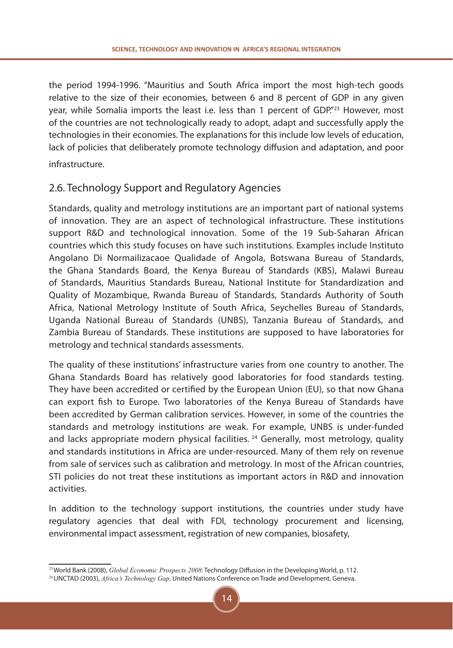the period 1994-1996. "Mauritius and South Africa import the most high-tech goods relative to the size of their economies, between 6 and 8 percent of GDP in any given year, while Somalia imports the least i.e. less than 1 percent of GDP."<sup>23</sup> However, most of the countries are not technologically ready to adopt, adapt and successfully apply the technologies in their economies. The explanations for this include low levels of education, lack of policies that deliberately promote technology diffusion and adaptation, and poor infrastructure.

#### 2.6. Technology Support and Regulatory Agencies

Standards, quality and metrology institutions are an important part of national systems of innovation. They are an aspect of technological infrastructure. These institutions support R&D and technological innovation. Some of the 19 Sub-Saharan African countries which this study focuses on have such institutions. Examples include Instituto Angolano Di Normailizacaoe Qualidade of Angola, Botswana Bureau of Standards, the Ghana Standards Board, the Kenya Bureau of Standards (KBS), Malawi Bureau of Standards, Mauritius Standards Bureau, National Institute for Standardization and Quality of Mozambique, Rwanda Bureau of Standards, Standards Authority of South Africa, National Metrology Institute of South Africa, Seychelles Bureau of Standards, Uganda National Bureau of Standards (UNBS), Tanzania Bureau of Standards, and Zambia Bureau of Standards. These institutions are supposed to have laboratories for metrology and technical standards assessments.

The quality of these institutions' infrastructure varies from one country to another. The Ghana Standards Board has relatively good laboratories for food standards testing. They have been accredited or certified by the European Union (EU), so that now Ghana can export fish to Europe. Two laboratories of the Kenya Bureau of Standards have been accredited by German calibration services. However, in some of the countries the standards and metrology institutions are weak. For example, UNBS is under-funded and lacks appropriate modern physical facilities.<sup>24</sup> Generally, most metrology, quality and standards institutions in Africa are under-resourced. Many of them rely on revenue from sale of services such as calibration and metrology. In most of the African countries, STI policies do not treat these institutions as important actors in R&D and innovation activities.

In addition to the technology support institutions, the countries under study have regulatory agencies that deal with FDI, technology procurement and licensing, environmental impact assessment, registration of new companies, biosafety,

<sup>23</sup>World Bank (2008), *Global Economic Prospects 2008*: Technology Diffusion in the Developing World, p. 112.

<sup>24</sup>UNCTAD (2003), *Africa's Technology Gap*. United Nations Conference on Trade and Development, Geneva.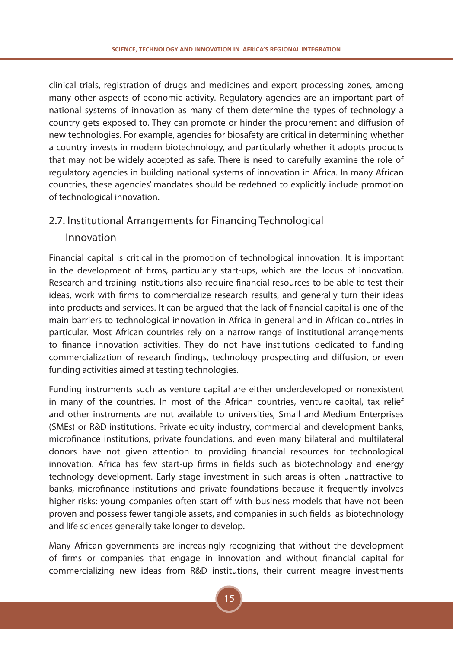clinical trials, registration of drugs and medicines and export processing zones, among many other aspects of economic activity. Regulatory agencies are an important part of national systems of innovation as many of them determine the types of technology a country gets exposed to. They can promote or hinder the procurement and diffusion of new technologies. For example, agencies for biosafety are critical in determining whether a country invests in modern biotechnology, and particularly whether it adopts products that may not be widely accepted as safe. There is need to carefully examine the role of regulatory agencies in building national systems of innovation in Africa. In many African countries, these agencies' mandates should be redefined to explicitly include promotion of technological innovation.

#### 2.7. Institutional Arrangements for Financing Technological

#### Innovation

Financial capital is critical in the promotion of technological innovation. It is important in the development of firms, particularly start-ups, which are the locus of innovation. Research and training institutions also require financial resources to be able to test their ideas, work with firms to commercialize research results, and generally turn their ideas into products and services. It can be argued that the lack of financial capital is one of the main barriers to technological innovation in Africa in general and in African countries in particular. Most African countries rely on a narrow range of institutional arrangements to finance innovation activities. They do not have institutions dedicated to funding commercialization of research findings, technology prospecting and diffusion, or even funding activities aimed at testing technologies.

Funding instruments such as venture capital are either underdeveloped or nonexistent in many of the countries. In most of the African countries, venture capital, tax relief and other instruments are not available to universities, Small and Medium Enterprises (SMEs) or R&D institutions. Private equity industry, commercial and development banks, microfinance institutions, private foundations, and even many bilateral and multilateral donors have not given attention to providing financial resources for technological innovation. Africa has few start-up firms in fields such as biotechnology and energy technology development. Early stage investment in such areas is often unattractive to banks, microfinance institutions and private foundations because it frequently involves higher risks: young companies often start off with business models that have not been proven and possess fewer tangible assets, and companies in such fields as biotechnology and life sciences generally take longer to develop.

Many African governments are increasingly recognizing that without the development of firms or companies that engage in innovation and without financial capital for commercializing new ideas from R&D institutions, their current meagre investments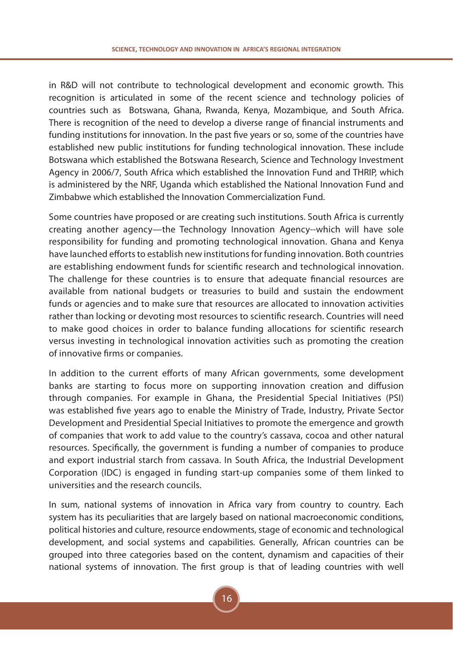in R&D will not contribute to technological development and economic growth. This recognition is articulated in some of the recent science and technology policies of countries such as Botswana, Ghana, Rwanda, Kenya, Mozambique, and South Africa. There is recognition of the need to develop a diverse range of financial instruments and funding institutions for innovation. In the past five years or so, some of the countries have established new public institutions for funding technological innovation. These include Botswana which established the Botswana Research, Science and Technology Investment Agency in 2006/7, South Africa which established the Innovation Fund and THRIP, which is administered by the NRF, Uganda which established the National Innovation Fund and Zimbabwe which established the Innovation Commercialization Fund.

Some countries have proposed or are creating such institutions. South Africa is currently creating another agency—the Technology Innovation Agency--which will have sole responsibility for funding and promoting technological innovation. Ghana and Kenya have launched efforts to establish new institutions for funding innovation. Both countries are establishing endowment funds for scientific research and technological innovation. The challenge for these countries is to ensure that adequate financial resources are available from national budgets or treasuries to build and sustain the endowment funds or agencies and to make sure that resources are allocated to innovation activities rather than locking or devoting most resources to scientific research. Countries will need to make good choices in order to balance funding allocations for scientific research versus investing in technological innovation activities such as promoting the creation of innovative firms or companies.

In addition to the current efforts of many African governments, some development banks are starting to focus more on supporting innovation creation and diffusion through companies. For example in Ghana, the Presidential Special Initiatives (PSI) was established five years ago to enable the Ministry of Trade, Industry, Private Sector Development and Presidential Special Initiatives to promote the emergence and growth of companies that work to add value to the country's cassava, cocoa and other natural resources. Specifically, the government is funding a number of companies to produce and export industrial starch from cassava. In South Africa, the Industrial Development Corporation (IDC) is engaged in funding start-up companies some of them linked to universities and the research councils.

In sum, national systems of innovation in Africa vary from country to country. Each system has its peculiarities that are largely based on national macroeconomic conditions, political histories and culture, resource endowments, stage of economic and technological development, and social systems and capabilities. Generally, African countries can be grouped into three categories based on the content, dynamism and capacities of their national systems of innovation. The first group is that of leading countries with well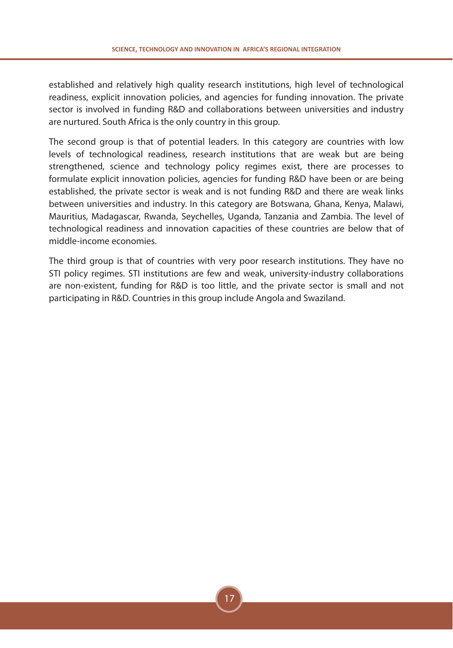established and relatively high quality research institutions, high level of technological readiness, explicit innovation policies, and agencies for funding innovation. The private sector is involved in funding R&D and collaborations between universities and industry are nurtured. South Africa is the only country in this group.

The second group is that of potential leaders. In this category are countries with low levels of technological readiness, research institutions that are weak but are being strengthened, science and technology policy regimes exist, there are processes to formulate explicit innovation policies, agencies for funding R&D have been or are being established, the private sector is weak and is not funding R&D and there are weak links between universities and industry. In this category are Botswana, Ghana, Kenya, Malawi, Mauritius, Madagascar, Rwanda, Seychelles, Uganda, Tanzania and Zambia. The level of technological readiness and innovation capacities of these countries are below that of middle-income economies.

The third group is that of countries with very poor research institutions. They have no STI policy regimes. STI institutions are few and weak, university-industry collaborations are non-existent, funding for R&D is too little, and the private sector is small and not participating in R&D. Countries in this group include Angola and Swaziland.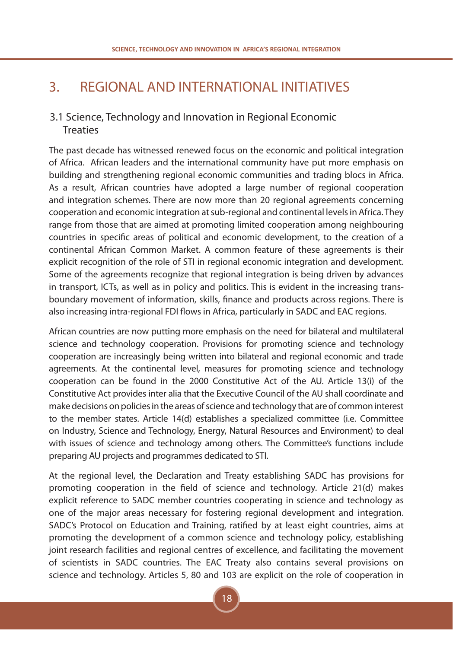## 3. REGIONAL AND INTERNATIONAL INITIATIVES

#### 3.1 Science, Technology and Innovation in Regional Economic **Treaties**

The past decade has witnessed renewed focus on the economic and political integration of Africa. African leaders and the international community have put more emphasis on building and strengthening regional economic communities and trading blocs in Africa. As a result, African countries have adopted a large number of regional cooperation and integration schemes. There are now more than 20 regional agreements concerning cooperation and economic integration at sub-regional and continental levels in Africa. They range from those that are aimed at promoting limited cooperation among neighbouring countries in specific areas of political and economic development, to the creation of a continental African Common Market. A common feature of these agreements is their explicit recognition of the role of STI in regional economic integration and development. Some of the agreements recognize that regional integration is being driven by advances in transport, ICTs, as well as in policy and politics. This is evident in the increasing transboundary movement of information, skills, finance and products across regions. There is also increasing intra-regional FDI flows in Africa, particularly in SADC and EAC regions.

African countries are now putting more emphasis on the need for bilateral and multilateral science and technology cooperation. Provisions for promoting science and technology cooperation are increasingly being written into bilateral and regional economic and trade agreements. At the continental level, measures for promoting science and technology cooperation can be found in the 2000 Constitutive Act of the AU. Article 13(i) of the Constitutive Act provides inter alia that the Executive Council of the AU shall coordinate and make decisions on policies in the areas of science and technology that are of common interest to the member states. Article 14(d) establishes a specialized committee (i.e. Committee on Industry, Science and Technology, Energy, Natural Resources and Environment) to deal with issues of science and technology among others. The Committee's functions include preparing AU projects and programmes dedicated to STI.

At the regional level, the Declaration and Treaty establishing SADC has provisions for promoting cooperation in the field of science and technology. Article 21(d) makes explicit reference to SADC member countries cooperating in science and technology as one of the major areas necessary for fostering regional development and integration. SADC's Protocol on Education and Training, ratified by at least eight countries, aims at promoting the development of a common science and technology policy, establishing joint research facilities and regional centres of excellence, and facilitating the movement of scientists in SADC countries. The EAC Treaty also contains several provisions on science and technology. Articles 5, 80 and 103 are explicit on the role of cooperation in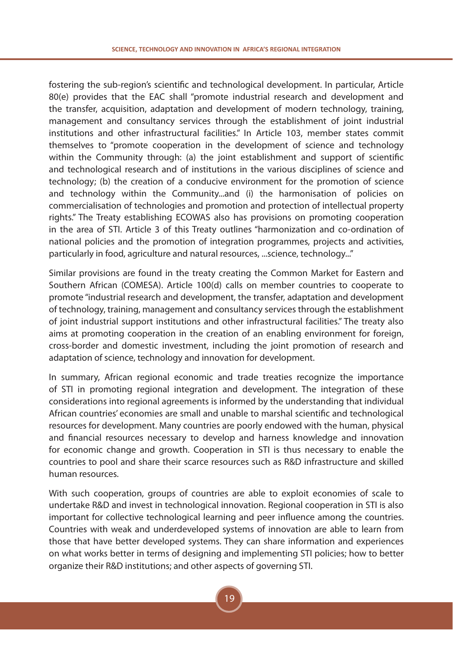fostering the sub-region's scientific and technological development. In particular, Article 80(e) provides that the EAC shall "promote industrial research and development and the transfer, acquisition, adaptation and development of modern technology, training, management and consultancy services through the establishment of joint industrial institutions and other infrastructural facilities." In Article 103, member states commit themselves to "promote cooperation in the development of science and technology within the Community through: (a) the joint establishment and support of scientific and technological research and of institutions in the various disciplines of science and technology; (b) the creation of a conducive environment for the promotion of science and technology within the Community...and (i) the harmonisation of policies on commercialisation of technologies and promotion and protection of intellectual property rights." The Treaty establishing ECOWAS also has provisions on promoting cooperation in the area of STI. Article 3 of this Treaty outlines "harmonization and co-ordination of national policies and the promotion of integration programmes, projects and activities, particularly in food, agriculture and natural resources, ...science, technology..."

Similar provisions are found in the treaty creating the Common Market for Eastern and Southern African (COMESA). Article 100(d) calls on member countries to cooperate to promote "industrial research and development, the transfer, adaptation and development of technology, training, management and consultancy services through the establishment of joint industrial support institutions and other infrastructural facilities." The treaty also aims at promoting cooperation in the creation of an enabling environment for foreign, cross-border and domestic investment, including the joint promotion of research and adaptation of science, technology and innovation for development.

In summary, African regional economic and trade treaties recognize the importance of STI in promoting regional integration and development. The integration of these considerations into regional agreements is informed by the understanding that individual African countries' economies are small and unable to marshal scientific and technological resources for development. Many countries are poorly endowed with the human, physical and financial resources necessary to develop and harness knowledge and innovation for economic change and growth. Cooperation in STI is thus necessary to enable the countries to pool and share their scarce resources such as R&D infrastructure and skilled human resources.

With such cooperation, groups of countries are able to exploit economies of scale to undertake R&D and invest in technological innovation. Regional cooperation in STI is also important for collective technological learning and peer influence among the countries. Countries with weak and underdeveloped systems of innovation are able to learn from those that have better developed systems. They can share information and experiences on what works better in terms of designing and implementing STI policies; how to better organize their R&D institutions; and other aspects of governing STI.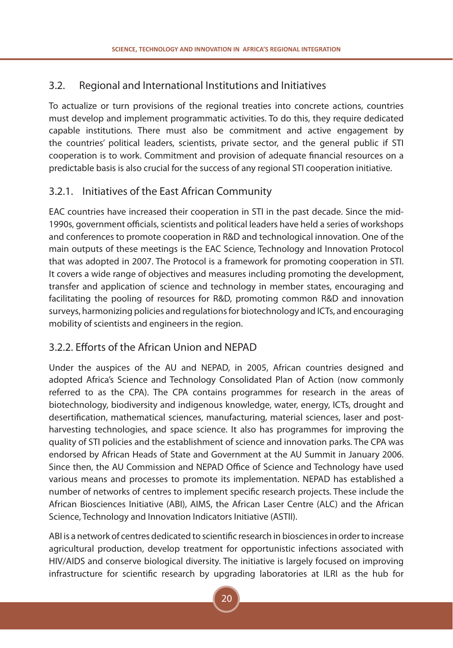### 3.2. Regional and International Institutions and Initiatives

To actualize or turn provisions of the regional treaties into concrete actions, countries must develop and implement programmatic activities. To do this, they require dedicated capable institutions. There must also be commitment and active engagement by the countries' political leaders, scientists, private sector, and the general public if STI cooperation is to work. Commitment and provision of adequate financial resources on a predictable basis is also crucial for the success of any regional STI cooperation initiative.

#### 3.2.1. Initiatives of the East African Community

EAC countries have increased their cooperation in STI in the past decade. Since the mid-1990s, government officials, scientists and political leaders have held a series of workshops and conferences to promote cooperation in R&D and technological innovation. One of the main outputs of these meetings is the EAC Science, Technology and Innovation Protocol that was adopted in 2007. The Protocol is a framework for promoting cooperation in STI. It covers a wide range of objectives and measures including promoting the development, transfer and application of science and technology in member states, encouraging and facilitating the pooling of resources for R&D, promoting common R&D and innovation surveys, harmonizing policies and regulations for biotechnology and ICTs, and encouraging mobility of scientists and engineers in the region.

#### 3.2.2. Efforts of the African Union and NEPAD

Under the auspices of the AU and NEPAD, in 2005, African countries designed and adopted Africa's Science and Technology Consolidated Plan of Action (now commonly referred to as the CPA). The CPA contains programmes for research in the areas of biotechnology, biodiversity and indigenous knowledge, water, energy, ICTs, drought and desertification, mathematical sciences, manufacturing, material sciences, laser and postharvesting technologies, and space science. It also has programmes for improving the quality of STI policies and the establishment of science and innovation parks. The CPA was endorsed by African Heads of State and Government at the AU Summit in January 2006. Since then, the AU Commission and NEPAD Office of Science and Technology have used various means and processes to promote its implementation. NEPAD has established a number of networks of centres to implement specific research projects. These include the African Biosciences Initiative (ABI), AIMS, the African Laser Centre (ALC) and the African Science, Technology and Innovation Indicators Initiative (ASTII).

ABI is a network of centres dedicated to scientific research in biosciences in order to increase agricultural production, develop treatment for opportunistic infections associated with HIV/AIDS and conserve biological diversity. The initiative is largely focused on improving infrastructure for scientific research by upgrading laboratories at ILRI as the hub for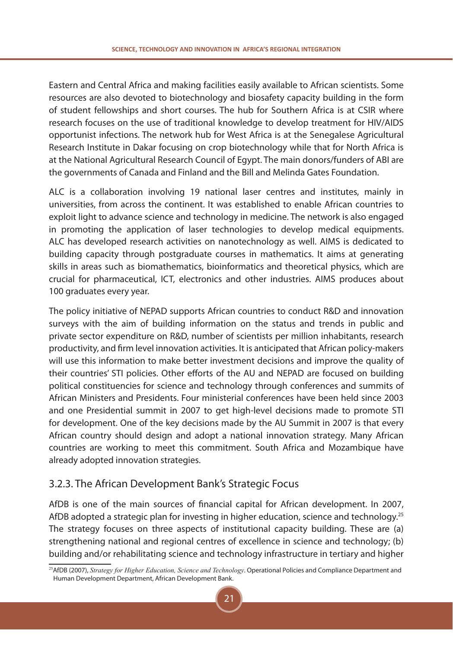Eastern and Central Africa and making facilities easily available to African scientists. Some resources are also devoted to biotechnology and biosafety capacity building in the form of student fellowships and short courses. The hub for Southern Africa is at CSIR where research focuses on the use of traditional knowledge to develop treatment for HIV/AIDS opportunist infections. The network hub for West Africa is at the Senegalese Agricultural Research Institute in Dakar focusing on crop biotechnology while that for North Africa is at the National Agricultural Research Council of Egypt. The main donors/funders of ABI are the governments of Canada and Finland and the Bill and Melinda Gates Foundation.

ALC is a collaboration involving 19 national laser centres and institutes, mainly in universities, from across the continent. It was established to enable African countries to exploit light to advance science and technology in medicine. The network is also engaged in promoting the application of laser technologies to develop medical equipments. ALC has developed research activities on nanotechnology as well. AIMS is dedicated to building capacity through postgraduate courses in mathematics. It aims at generating skills in areas such as biomathematics, bioinformatics and theoretical physics, which are crucial for pharmaceutical, ICT, electronics and other industries. AIMS produces about 100 graduates every year.

The policy initiative of NEPAD supports African countries to conduct R&D and innovation surveys with the aim of building information on the status and trends in public and private sector expenditure on R&D, number of scientists per million inhabitants, research productivity, and firm level innovation activities. It is anticipated that African policy-makers will use this information to make better investment decisions and improve the quality of their countries' STI policies. Other efforts of the AU and NEPAD are focused on building political constituencies for science and technology through conferences and summits of African Ministers and Presidents. Four ministerial conferences have been held since 2003 and one Presidential summit in 2007 to get high-level decisions made to promote STI for development. One of the key decisions made by the AU Summit in 2007 is that every African country should design and adopt a national innovation strategy. Many African countries are working to meet this commitment. South Africa and Mozambique have already adopted innovation strategies.

#### 3.2.3. The African Development Bank's Strategic Focus

AfDB is one of the main sources of financial capital for African development. In 2007, AfDB adopted a strategic plan for investing in higher education, science and technology.<sup>25</sup> The strategy focuses on three aspects of institutional capacity building. These are (a) strengthening national and regional centres of excellence in science and technology; (b) building and/or rehabilitating science and technology infrastructure in tertiary and higher

<sup>25</sup>AfDB (2007), *Strategy for Higher Education, Science and Technology*. Operational Policies and Compliance Department and Human Development Department, African Development Bank.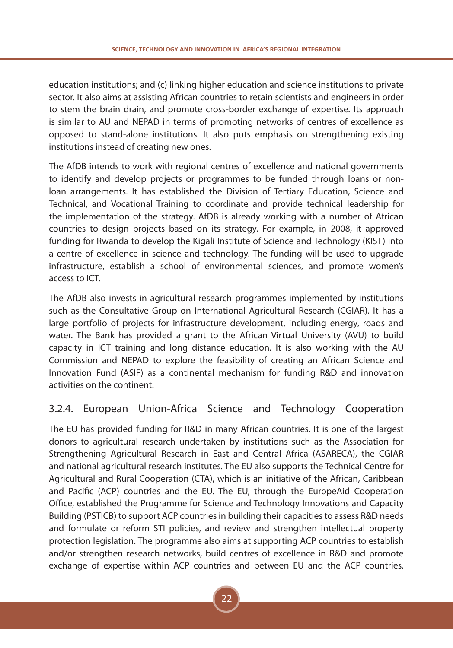education institutions; and (c) linking higher education and science institutions to private sector. It also aims at assisting African countries to retain scientists and engineers in order to stem the brain drain, and promote cross-border exchange of expertise. Its approach is similar to AU and NEPAD in terms of promoting networks of centres of excellence as opposed to stand-alone institutions. It also puts emphasis on strengthening existing institutions instead of creating new ones.

The AfDB intends to work with regional centres of excellence and national governments to identify and develop projects or programmes to be funded through loans or nonloan arrangements. It has established the Division of Tertiary Education, Science and Technical, and Vocational Training to coordinate and provide technical leadership for the implementation of the strategy. AfDB is already working with a number of African countries to design projects based on its strategy. For example, in 2008, it approved funding for Rwanda to develop the Kigali Institute of Science and Technology (KIST) into a centre of excellence in science and technology. The funding will be used to upgrade infrastructure, establish a school of environmental sciences, and promote women's access to ICT.

The AfDB also invests in agricultural research programmes implemented by institutions such as the Consultative Group on International Agricultural Research (CGIAR). It has a large portfolio of projects for infrastructure development, including energy, roads and water. The Bank has provided a grant to the African Virtual University (AVU) to build capacity in ICT training and long distance education. It is also working with the AU Commission and NEPAD to explore the feasibility of creating an African Science and Innovation Fund (ASIF) as a continental mechanism for funding R&D and innovation activities on the continent.

### 3.2.4. European Union-Africa Science and Technology Cooperation

The EU has provided funding for R&D in many African countries. It is one of the largest donors to agricultural research undertaken by institutions such as the Association for Strengthening Agricultural Research in East and Central Africa (ASARECA), the CGIAR and national agricultural research institutes. The EU also supports the Technical Centre for Agricultural and Rural Cooperation (CTA), which is an initiative of the African, Caribbean and Pacific (ACP) countries and the EU. The EU, through the EuropeAid Cooperation Office, established the Programme for Science and Technology Innovations and Capacity Building (PSTICB) to support ACP countries in building their capacities to assess R&D needs and formulate or reform STI policies, and review and strengthen intellectual property protection legislation. The programme also aims at supporting ACP countries to establish and/or strengthen research networks, build centres of excellence in R&D and promote exchange of expertise within ACP countries and between EU and the ACP countries.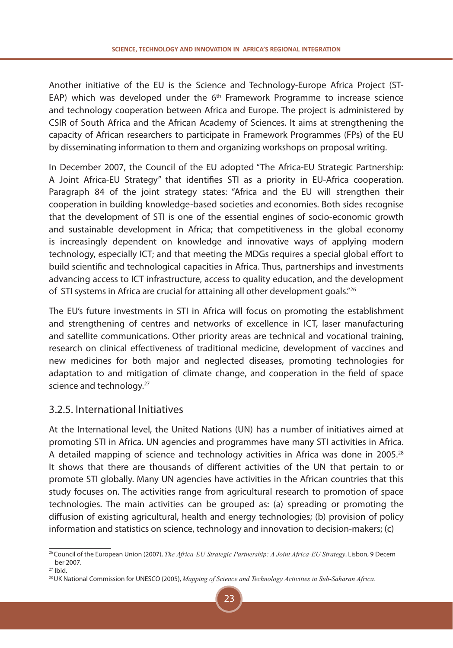Another initiative of the EU is the Science and Technology-Europe Africa Project (ST-EAP) which was developed under the  $6<sup>th</sup>$  Framework Programme to increase science and technology cooperation between Africa and Europe. The project is administered by CSIR of South Africa and the African Academy of Sciences. It aims at strengthening the capacity of African researchers to participate in Framework Programmes (FPs) of the EU by disseminating information to them and organizing workshops on proposal writing.

In December 2007, the Council of the EU adopted "The Africa-EU Strategic Partnership: A Joint Africa-EU Strategy" that identifies STI as a priority in EU-Africa cooperation. Paragraph 84 of the joint strategy states: "Africa and the EU will strengthen their cooperation in building knowledge-based societies and economies. Both sides recognise that the development of STI is one of the essential engines of socio-economic growth and sustainable development in Africa; that competitiveness in the global economy is increasingly dependent on knowledge and innovative ways of applying modern technology, especially ICT; and that meeting the MDGs requires a special global effort to build scientific and technological capacities in Africa. Thus, partnerships and investments advancing access to ICT infrastructure, access to quality education, and the development of STI systems in Africa are crucial for attaining all other development goals."26

The EU's future investments in STI in Africa will focus on promoting the establishment and strengthening of centres and networks of excellence in ICT, laser manufacturing and satellite communications. Other priority areas are technical and vocational training, research on clinical effectiveness of traditional medicine, development of vaccines and new medicines for both major and neglected diseases, promoting technologies for adaptation to and mitigation of climate change, and cooperation in the field of space science and technology.<sup>27</sup>

#### 3.2.5. International Initiatives

At the International level, the United Nations (UN) has a number of initiatives aimed at promoting STI in Africa. UN agencies and programmes have many STI activities in Africa. A detailed mapping of science and technology activities in Africa was done in 2005.28 It shows that there are thousands of different activities of the UN that pertain to or promote STI globally. Many UN agencies have activities in the African countries that this study focuses on. The activities range from agricultural research to promotion of space technologies. The main activities can be grouped as: (a) spreading or promoting the diffusion of existing agricultural, health and energy technologies; (b) provision of policy information and statistics on science, technology and innovation to decision-makers; (c)

<sup>&</sup>lt;sup>26</sup> Council of the European Union (2007), *The Africa-EU Strategic Partnership: A Joint Africa-EU Strategy*. Lisbon, 9 Decem ber 2007.

 $27$  Ibid.

<sup>28</sup>UK National Commission for UNESCO (2005), *Mapping of Science and Technology Activities in Sub-Saharan Africa.*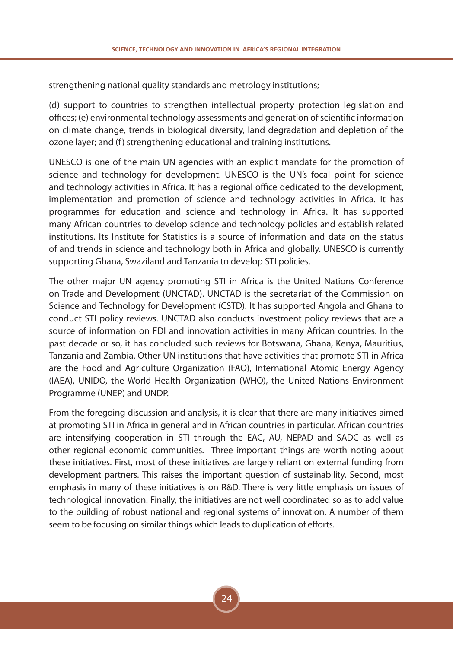strengthening national quality standards and metrology institutions;

(d) support to countries to strengthen intellectual property protection legislation and offices; (e) environmental technology assessments and generation of scientific information on climate change, trends in biological diversity, land degradation and depletion of the ozone layer; and (f) strengthening educational and training institutions.

UNESCO is one of the main UN agencies with an explicit mandate for the promotion of science and technology for development. UNESCO is the UN's focal point for science and technology activities in Africa. It has a regional office dedicated to the development, implementation and promotion of science and technology activities in Africa. It has programmes for education and science and technology in Africa. It has supported many African countries to develop science and technology policies and establish related institutions. Its Institute for Statistics is a source of information and data on the status of and trends in science and technology both in Africa and globally. UNESCO is currently supporting Ghana, Swaziland and Tanzania to develop STI policies.

The other major UN agency promoting STI in Africa is the United Nations Conference on Trade and Development (UNCTAD). UNCTAD is the secretariat of the Commission on Science and Technology for Development (CSTD). It has supported Angola and Ghana to conduct STI policy reviews. UNCTAD also conducts investment policy reviews that are a source of information on FDI and innovation activities in many African countries. In the past decade or so, it has concluded such reviews for Botswana, Ghana, Kenya, Mauritius, Tanzania and Zambia. Other UN institutions that have activities that promote STI in Africa are the Food and Agriculture Organization (FAO), International Atomic Energy Agency (IAEA), UNIDO, the World Health Organization (WHO), the United Nations Environment Programme (UNEP) and UNDP.

From the foregoing discussion and analysis, it is clear that there are many initiatives aimed at promoting STI in Africa in general and in African countries in particular. African countries are intensifying cooperation in STI through the EAC, AU, NEPAD and SADC as well as other regional economic communities. Three important things are worth noting about these initiatives. First, most of these initiatives are largely reliant on external funding from development partners. This raises the important question of sustainability. Second, most emphasis in many of these initiatives is on R&D. There is very little emphasis on issues of technological innovation. Finally, the initiatives are not well coordinated so as to add value to the building of robust national and regional systems of innovation. A number of them seem to be focusing on similar things which leads to duplication of efforts.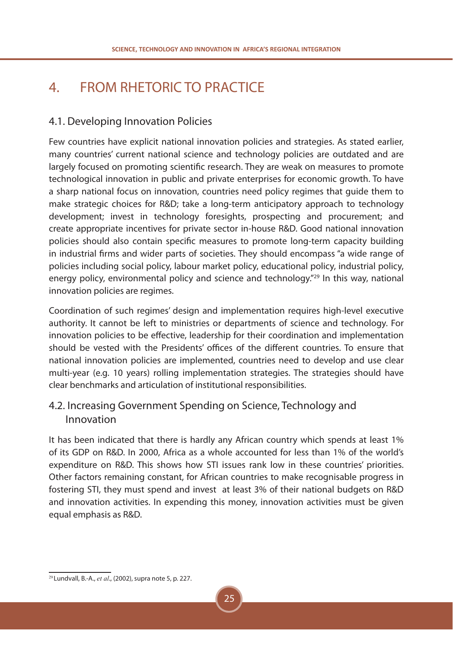# 4. FROM RHETORIC TO PRACTICE

### 4.1. Developing Innovation Policies

Few countries have explicit national innovation policies and strategies. As stated earlier, many countries' current national science and technology policies are outdated and are largely focused on promoting scientific research. They are weak on measures to promote technological innovation in public and private enterprises for economic growth. To have a sharp national focus on innovation, countries need policy regimes that guide them to make strategic choices for R&D; take a long-term anticipatory approach to technology development; invest in technology foresights, prospecting and procurement; and create appropriate incentives for private sector in-house R&D. Good national innovation policies should also contain specific measures to promote long-term capacity building in industrial firms and wider parts of societies. They should encompass "a wide range of policies including social policy, labour market policy, educational policy, industrial policy, energy policy, environmental policy and science and technology.<sup>"29</sup> In this way, national innovation policies are regimes.

Coordination of such regimes' design and implementation requires high-level executive authority. It cannot be left to ministries or departments of science and technology. For innovation policies to be effective, leadership for their coordination and implementation should be vested with the Presidents' offices of the different countries. To ensure that national innovation policies are implemented, countries need to develop and use clear multi-year (e.g. 10 years) rolling implementation strategies. The strategies should have clear benchmarks and articulation of institutional responsibilities.

### 4.2. Increasing Government Spending on Science, Technology and Innovation

It has been indicated that there is hardly any African country which spends at least 1% of its GDP on R&D. In 2000, Africa as a whole accounted for less than 1% of the world's expenditure on R&D. This shows how STI issues rank low in these countries' priorities. Other factors remaining constant, for African countries to make recognisable progress in fostering STI, they must spend and invest at least 3% of their national budgets on R&D and innovation activities. In expending this money, innovation activities must be given equal emphasis as R&D.

<sup>29</sup> Lundvall, B.-A., *et al*., (2002), supra note 5, p. 227.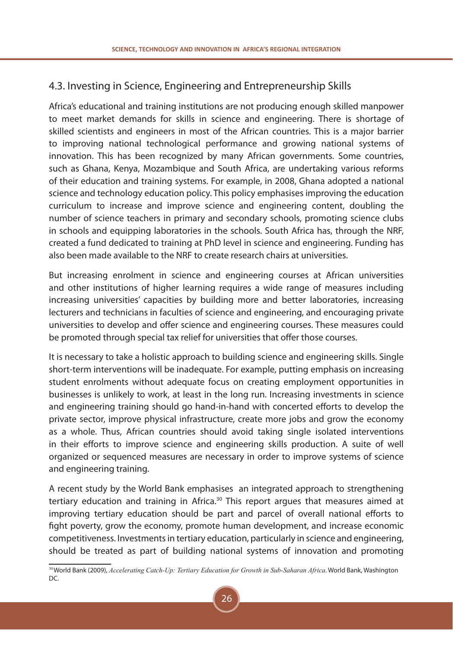### 4.3. Investing in Science, Engineering and Entrepreneurship Skills

Africa's educational and training institutions are not producing enough skilled manpower to meet market demands for skills in science and engineering. There is shortage of skilled scientists and engineers in most of the African countries. This is a major barrier to improving national technological performance and growing national systems of innovation. This has been recognized by many African governments. Some countries, such as Ghana, Kenya, Mozambique and South Africa, are undertaking various reforms of their education and training systems. For example, in 2008, Ghana adopted a national science and technology education policy. This policy emphasises improving the education curriculum to increase and improve science and engineering content, doubling the number of science teachers in primary and secondary schools, promoting science clubs in schools and equipping laboratories in the schools. South Africa has, through the NRF, created a fund dedicated to training at PhD level in science and engineering. Funding has also been made available to the NRF to create research chairs at universities.

But increasing enrolment in science and engineering courses at African universities and other institutions of higher learning requires a wide range of measures including increasing universities' capacities by building more and better laboratories, increasing lecturers and technicians in faculties of science and engineering, and encouraging private universities to develop and offer science and engineering courses. These measures could be promoted through special tax relief for universities that offer those courses.

It is necessary to take a holistic approach to building science and engineering skills. Single short-term interventions will be inadequate. For example, putting emphasis on increasing student enrolments without adequate focus on creating employment opportunities in businesses is unlikely to work, at least in the long run. Increasing investments in science and engineering training should go hand-in-hand with concerted efforts to develop the private sector, improve physical infrastructure, create more jobs and grow the economy as a whole. Thus, African countries should avoid taking single isolated interventions in their efforts to improve science and engineering skills production. A suite of well organized or sequenced measures are necessary in order to improve systems of science and engineering training.

A recent study by the World Bank emphasises an integrated approach to strengthening tertiary education and training in Africa.<sup>30</sup> This report argues that measures aimed at improving tertiary education should be part and parcel of overall national efforts to fight poverty, grow the economy, promote human development, and increase economic competitiveness. Investments in tertiary education, particularly in science and engineering, should be treated as part of building national systems of innovation and promoting

<sup>30</sup>World Bank (2009), *Accelerating Catch-Up: Tertiary Education for Growth in Sub-Saharan Africa*. World Bank, Washington DC.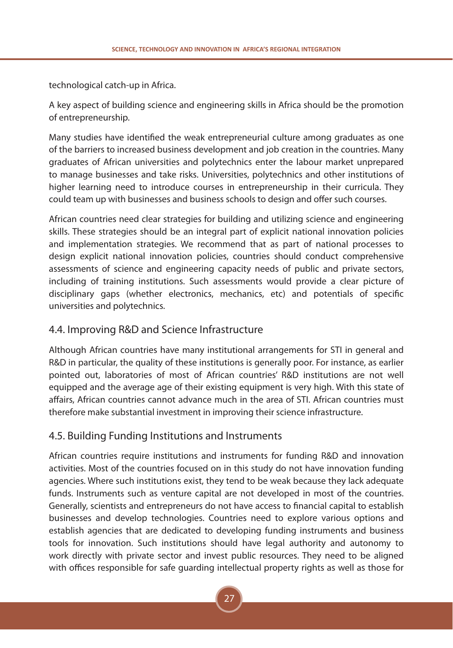technological catch-up in Africa.

A key aspect of building science and engineering skills in Africa should be the promotion of entrepreneurship.

Many studies have identified the weak entrepreneurial culture among graduates as one of the barriers to increased business development and job creation in the countries. Many graduates of African universities and polytechnics enter the labour market unprepared to manage businesses and take risks. Universities, polytechnics and other institutions of higher learning need to introduce courses in entrepreneurship in their curricula. They could team up with businesses and business schools to design and offer such courses.

African countries need clear strategies for building and utilizing science and engineering skills. These strategies should be an integral part of explicit national innovation policies and implementation strategies. We recommend that as part of national processes to design explicit national innovation policies, countries should conduct comprehensive assessments of science and engineering capacity needs of public and private sectors, including of training institutions. Such assessments would provide a clear picture of disciplinary gaps (whether electronics, mechanics, etc) and potentials of specific universities and polytechnics.

#### 4.4. Improving R&D and Science Infrastructure

Although African countries have many institutional arrangements for STI in general and R&D in particular, the quality of these institutions is generally poor. For instance, as earlier pointed out, laboratories of most of African countries' R&D institutions are not well equipped and the average age of their existing equipment is very high. With this state of affairs, African countries cannot advance much in the area of STI. African countries must therefore make substantial investment in improving their science infrastructure.

#### 4.5. Building Funding Institutions and Instruments

African countries require institutions and instruments for funding R&D and innovation activities. Most of the countries focused on in this study do not have innovation funding agencies. Where such institutions exist, they tend to be weak because they lack adequate funds. Instruments such as venture capital are not developed in most of the countries. Generally, scientists and entrepreneurs do not have access to financial capital to establish businesses and develop technologies. Countries need to explore various options and establish agencies that are dedicated to developing funding instruments and business tools for innovation. Such institutions should have legal authority and autonomy to work directly with private sector and invest public resources. They need to be aligned with offices responsible for safe guarding intellectual property rights as well as those for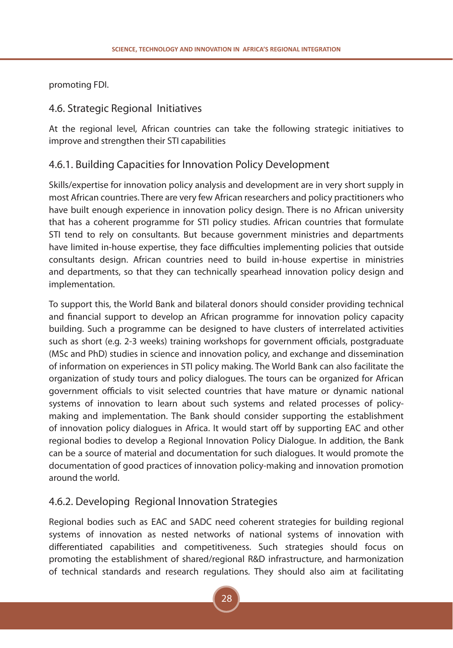promoting FDI.

#### 4.6. Strategic Regional Initiatives

At the regional level, African countries can take the following strategic initiatives to improve and strengthen their STI capabilities

#### 4.6.1. Building Capacities for Innovation Policy Development

Skills/expertise for innovation policy analysis and development are in very short supply in most African countries. There are very few African researchers and policy practitioners who have built enough experience in innovation policy design. There is no African university that has a coherent programme for STI policy studies. African countries that formulate STI tend to rely on consultants. But because government ministries and departments have limited in-house expertise, they face difficulties implementing policies that outside consultants design. African countries need to build in-house expertise in ministries and departments, so that they can technically spearhead innovation policy design and implementation.

To support this, the World Bank and bilateral donors should consider providing technical and financial support to develop an African programme for innovation policy capacity building. Such a programme can be designed to have clusters of interrelated activities such as short (e.g. 2-3 weeks) training workshops for government officials, postgraduate (MSc and PhD) studies in science and innovation policy, and exchange and dissemination of information on experiences in STI policy making. The World Bank can also facilitate the organization of study tours and policy dialogues. The tours can be organized for African government officials to visit selected countries that have mature or dynamic national systems of innovation to learn about such systems and related processes of policymaking and implementation. The Bank should consider supporting the establishment of innovation policy dialogues in Africa. It would start off by supporting EAC and other regional bodies to develop a Regional Innovation Policy Dialogue. In addition, the Bank can be a source of material and documentation for such dialogues. It would promote the documentation of good practices of innovation policy-making and innovation promotion around the world.

#### 4.6.2. Developing Regional Innovation Strategies

Regional bodies such as EAC and SADC need coherent strategies for building regional systems of innovation as nested networks of national systems of innovation with differentiated capabilities and competitiveness. Such strategies should focus on promoting the establishment of shared/regional R&D infrastructure, and harmonization of technical standards and research regulations. They should also aim at facilitating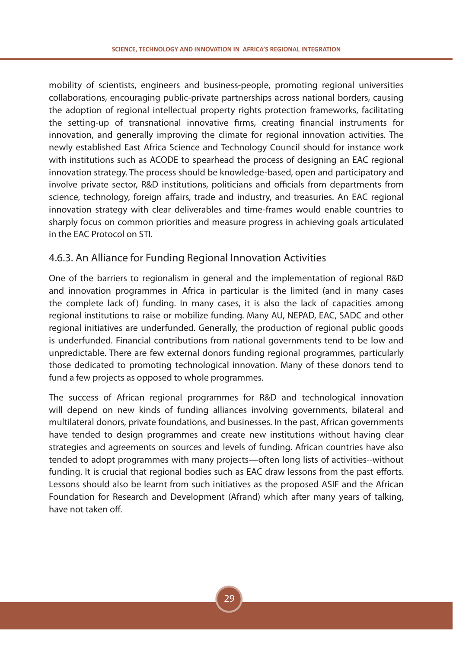mobility of scientists, engineers and business-people, promoting regional universities collaborations, encouraging public-private partnerships across national borders, causing the adoption of regional intellectual property rights protection frameworks, facilitating the setting-up of transnational innovative firms, creating financial instruments for innovation, and generally improving the climate for regional innovation activities. The newly established East Africa Science and Technology Council should for instance work with institutions such as ACODE to spearhead the process of designing an EAC regional innovation strategy. The process should be knowledge-based, open and participatory and involve private sector, R&D institutions, politicians and officials from departments from science, technology, foreign affairs, trade and industry, and treasuries. An EAC regional innovation strategy with clear deliverables and time-frames would enable countries to sharply focus on common priorities and measure progress in achieving goals articulated in the EAC Protocol on STI.

#### 4.6.3. An Alliance for Funding Regional Innovation Activities

One of the barriers to regionalism in general and the implementation of regional R&D and innovation programmes in Africa in particular is the limited (and in many cases the complete lack of) funding. In many cases, it is also the lack of capacities among regional institutions to raise or mobilize funding. Many AU, NEPAD, EAC, SADC and other regional initiatives are underfunded. Generally, the production of regional public goods is underfunded. Financial contributions from national governments tend to be low and unpredictable. There are few external donors funding regional programmes, particularly those dedicated to promoting technological innovation. Many of these donors tend to fund a few projects as opposed to whole programmes.

The success of African regional programmes for R&D and technological innovation will depend on new kinds of funding alliances involving governments, bilateral and multilateral donors, private foundations, and businesses. In the past, African governments have tended to design programmes and create new institutions without having clear strategies and agreements on sources and levels of funding. African countries have also tended to adopt programmes with many projects—often long lists of activities--without funding. It is crucial that regional bodies such as EAC draw lessons from the past efforts. Lessons should also be learnt from such initiatives as the proposed ASIF and the African Foundation for Research and Development (Afrand) which after many years of talking, have not taken off.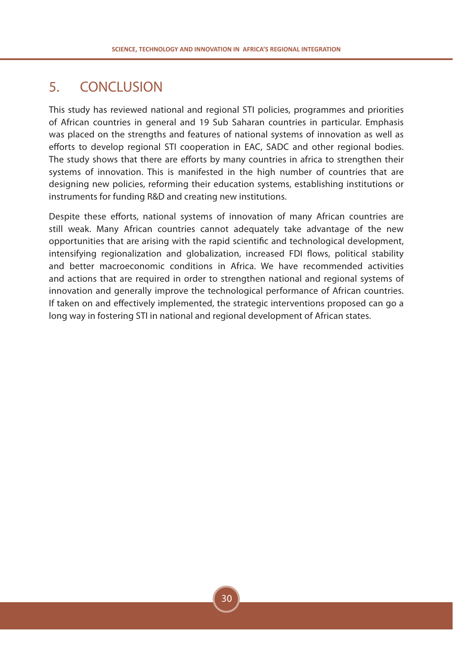## 5. CONCLUSION

This study has reviewed national and regional STI policies, programmes and priorities of African countries in general and 19 Sub Saharan countries in particular. Emphasis was placed on the strengths and features of national systems of innovation as well as efforts to develop regional STI cooperation in EAC, SADC and other regional bodies. The study shows that there are efforts by many countries in africa to strengthen their systems of innovation. This is manifested in the high number of countries that are designing new policies, reforming their education systems, establishing institutions or instruments for funding R&D and creating new institutions.

Despite these efforts, national systems of innovation of many African countries are still weak. Many African countries cannot adequately take advantage of the new opportunities that are arising with the rapid scientific and technological development, intensifying regionalization and globalization, increased FDI flows, political stability and better macroeconomic conditions in Africa. We have recommended activities and actions that are required in order to strengthen national and regional systems of innovation and generally improve the technological performance of African countries. If taken on and effectively implemented, the strategic interventions proposed can go a long way in fostering STI in national and regional development of African states.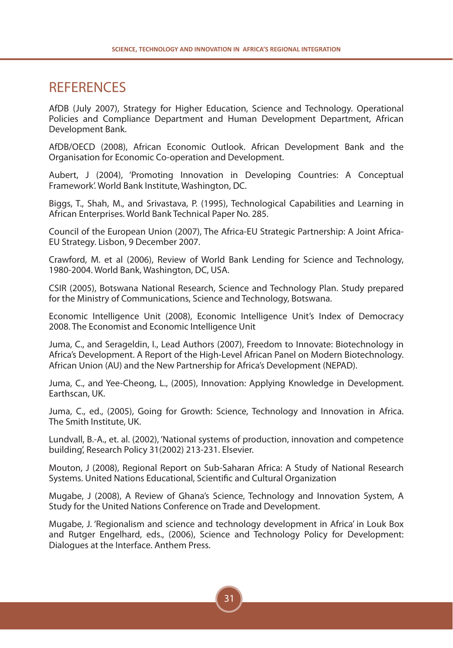### **REFERENCES**

AfDB (July 2007), Strategy for Higher Education, Science and Technology. Operational Policies and Compliance Department and Human Development Department, African Development Bank.

AfDB/OECD (2008), African Economic Outlook. African Development Bank and the Organisation for Economic Co-operation and Development.

Aubert, J (2004), 'Promoting Innovation in Developing Countries: A Conceptual Framework'. World Bank Institute, Washington, DC.

Biggs, T., Shah, M., and Srivastava, P. (1995), Technological Capabilities and Learning in African Enterprises. World Bank Technical Paper No. 285.

Council of the European Union (2007), The Africa-EU Strategic Partnership: A Joint Africa-EU Strategy. Lisbon, 9 December 2007.

Crawford, M. et al (2006), Review of World Bank Lending for Science and Technology, 1980-2004. World Bank, Washington, DC, USA.

CSIR (2005), Botswana National Research, Science and Technology Plan. Study prepared for the Ministry of Communications, Science and Technology, Botswana.

Economic Intelligence Unit (2008), Economic Intelligence Unit's Index of Democracy 2008. The Economist and Economic Intelligence Unit

Juma, C., and Serageldin, I., Lead Authors (2007), Freedom to Innovate: Biotechnology in Africa's Development. A Report of the High-Level African Panel on Modern Biotechnology. African Union (AU) and the New Partnership for Africa's Development (NEPAD).

Juma, C., and Yee-Cheong, L., (2005), Innovation: Applying Knowledge in Development. Earthscan, UK.

Juma, C., ed., (2005), Going for Growth: Science, Technology and Innovation in Africa. The Smith Institute, UK.

Lundvall, B.-A., et. al. (2002), 'National systems of production, innovation and competence building', Research Policy 31(2002) 213-231. Elsevier.

Mouton, J (2008), Regional Report on Sub-Saharan Africa: A Study of National Research Systems. United Nations Educational, Scientific and Cultural Organization

Mugabe, J (2008), A Review of Ghana's Science, Technology and Innovation System, A Study for the United Nations Conference on Trade and Development.

Mugabe, J. 'Regionalism and science and technology development in Africa' in Louk Box and Rutger Engelhard, eds., (2006), Science and Technology Policy for Development: Dialogues at the Interface. Anthem Press.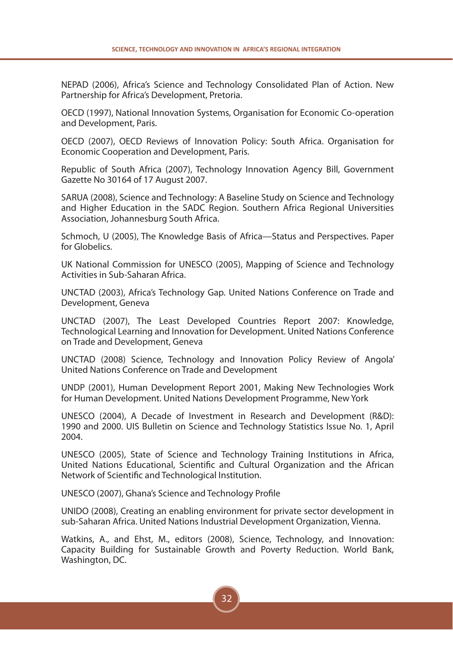NEPAD (2006), Africa's Science and Technology Consolidated Plan of Action. New Partnership for Africa's Development, Pretoria.

OECD (1997), National Innovation Systems, Organisation for Economic Co-operation and Development, Paris.

OECD (2007), OECD Reviews of Innovation Policy: South Africa. Organisation for Economic Cooperation and Development, Paris.

Republic of South Africa (2007), Technology Innovation Agency Bill, Government Gazette No 30164 of 17 August 2007.

SARUA (2008), Science and Technology: A Baseline Study on Science and Technology and Higher Education in the SADC Region. Southern Africa Regional Universities Association, Johannesburg South Africa.

Schmoch, U (2005), The Knowledge Basis of Africa—Status and Perspectives. Paper for Globelics.

UK National Commission for UNESCO (2005), Mapping of Science and Technology Activities in Sub-Saharan Africa.

UNCTAD (2003), Africa's Technology Gap. United Nations Conference on Trade and Development, Geneva

UNCTAD (2007), The Least Developed Countries Report 2007: Knowledge, Technological Learning and Innovation for Development. United Nations Conference on Trade and Development, Geneva

UNCTAD (2008) Science, Technology and Innovation Policy Review of Angola' United Nations Conference on Trade and Development

UNDP (2001), Human Development Report 2001, Making New Technologies Work for Human Development. United Nations Development Programme, New York

UNESCO (2004), A Decade of Investment in Research and Development (R&D): 1990 and 2000. UIS Bulletin on Science and Technology Statistics Issue No. 1, April 2004.

UNESCO (2005), State of Science and Technology Training Institutions in Africa, United Nations Educational, Scientific and Cultural Organization and the African Network of Scientific and Technological Institution.

UNESCO (2007), Ghana's Science and Technology Profile

UNIDO (2008), Creating an enabling environment for private sector development in sub-Saharan Africa. United Nations Industrial Development Organization, Vienna.

Watkins, A., and Ehst, M., editors (2008), Science, Technology, and Innovation: Capacity Building for Sustainable Growth and Poverty Reduction. World Bank, Washington, DC.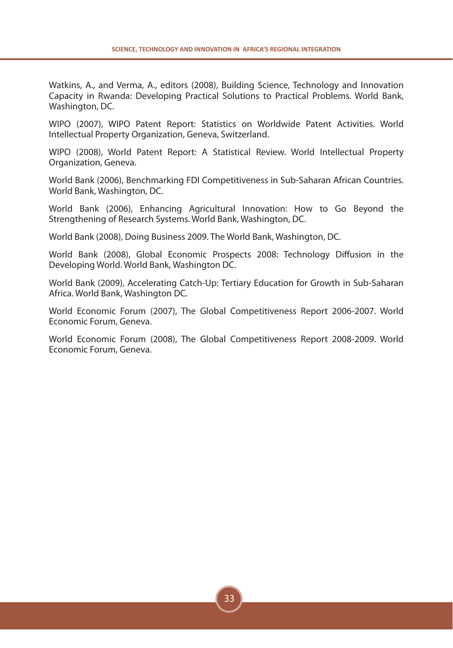Watkins, A., and Verma, A., editors (2008), Building Science, Technology and Innovation Capacity in Rwanda: Developing Practical Solutions to Practical Problems. World Bank, Washington, DC.

WIPO (2007), WIPO Patent Report: Statistics on Worldwide Patent Activities. World Intellectual Property Organization, Geneva, Switzerland.

WIPO (2008), World Patent Report: A Statistical Review. World Intellectual Property Organization, Geneva.

World Bank (2006), Benchmarking FDI Competitiveness in Sub-Saharan African Countries. World Bank, Washington, DC.

World Bank (2006), Enhancing Agricultural Innovation: How to Go Beyond the Strengthening of Research Systems. World Bank, Washington, DC.

World Bank (2008), Doing Business 2009. The World Bank, Washington, DC.

World Bank (2008), Global Economic Prospects 2008: Technology Diffusion in the Developing World. World Bank, Washington DC.

World Bank (2009), Accelerating Catch-Up: Tertiary Education for Growth in Sub-Saharan Africa. World Bank, Washington DC.

World Economic Forum (2007), The Global Competitiveness Report 2006-2007. World Economic Forum, Geneva.

World Economic Forum (2008), The Global Competitiveness Report 2008-2009. World Economic Forum, Geneva.

32 33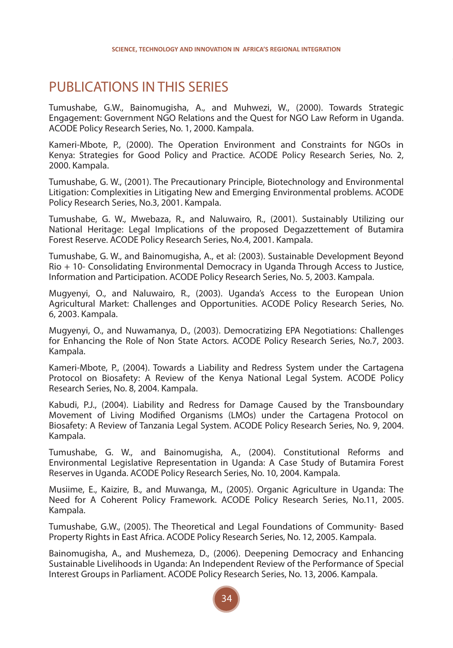## PUBLICATIONS IN THIS SERIES

Tumushabe, G.W., Bainomugisha, A., and Muhwezi, W., (2000). Towards Strategic Engagement: Government NGO Relations and the Quest for NGO Law Reform in Uganda. ACODE Policy Research Series, No. 1, 2000. Kampala.

Kameri-Mbote, P., (2000). The Operation Environment and Constraints for NGOs in Kenya: Strategies for Good Policy and Practice. ACODE Policy Research Series, No. 2, 2000. Kampala.

Tumushabe, G. W., (2001). The Precautionary Principle, Biotechnology and Environmental Litigation: Complexities in Litigating New and Emerging Environmental problems. ACODE Policy Research Series, No.3, 2001. Kampala.

Tumushabe, G. W., Mwebaza, R., and Naluwairo, R., (2001). Sustainably Utilizing our National Heritage: Legal Implications of the proposed Degazzettement of Butamira Forest Reserve. ACODE Policy Research Series, No.4, 2001. Kampala.

Tumushabe, G. W., and Bainomugisha, A., et al: (2003). Sustainable Development Beyond Rio + 10- Consolidating Environmental Democracy in Uganda Through Access to Justice, Information and Participation. ACODE Policy Research Series, No. 5, 2003. Kampala.

Mugyenyi, O., and Naluwairo, R., (2003). Uganda's Access to the European Union Agricultural Market: Challenges and Opportunities. ACODE Policy Research Series, No. 6, 2003. Kampala.

Mugyenyi, O., and Nuwamanya, D., (2003). Democratizing EPA Negotiations: Challenges for Enhancing the Role of Non State Actors. ACODE Policy Research Series, No.7, 2003. Kampala.

Kameri-Mbote, P., (2004). Towards a Liability and Redress System under the Cartagena Protocol on Biosafety: A Review of the Kenya National Legal System. ACODE Policy Research Series, No. 8, 2004. Kampala.

Kabudi, P.J., (2004). Liability and Redress for Damage Caused by the Transboundary Movement of Living Modified Organisms (LMOs) under the Cartagena Protocol on Biosafety: A Review of Tanzania Legal System. ACODE Policy Research Series, No. 9, 2004. Kampala.

Tumushabe, G. W., and Bainomugisha, A., (2004). Constitutional Reforms and Environmental Legislative Representation in Uganda: A Case Study of Butamira Forest Reserves in Uganda. ACODE Policy Research Series, No. 10, 2004. Kampala.

Musiime, E., Kaizire, B., and Muwanga, M., (2005). Organic Agriculture in Uganda: The Need for A Coherent Policy Framework. ACODE Policy Research Series, No.11, 2005. Kampala.

Tumushabe, G.W., (2005). The Theoretical and Legal Foundations of Community- Based Property Rights in East Africa. ACODE Policy Research Series, No. 12, 2005. Kampala.

Bainomugisha, A., and Mushemeza, D., (2006). Deepening Democracy and Enhancing Sustainable Livelihoods in Uganda: An Independent Review of the Performance of Special Interest Groups in Parliament. ACODE Policy Research Series, No. 13, 2006. Kampala.

34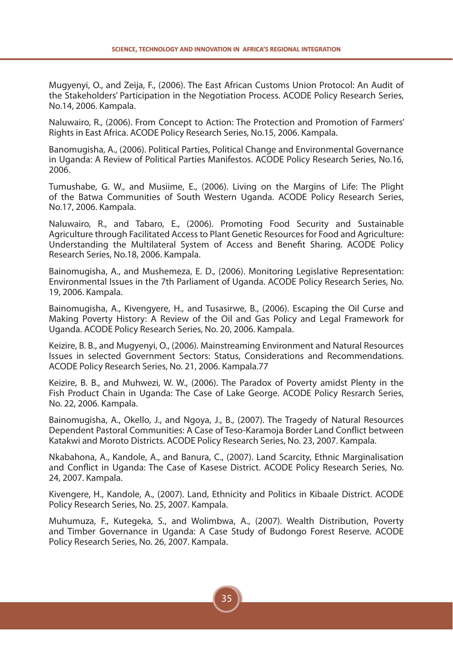Mugyenyi, O., and Zeija, F., (2006). The East African Customs Union Protocol: An Audit of the Stakeholders' Participation in the Negotiation Process. ACODE Policy Research Series, No.14, 2006. Kampala.

Naluwairo, R., (2006). From Concept to Action: The Protection and Promotion of Farmers' Rights in East Africa. ACODE Policy Research Series, No.15, 2006. Kampala.

Banomugisha, A., (2006). Political Parties, Political Change and Environmental Governance in Uganda: A Review of Political Parties Manifestos. ACODE Policy Research Series, No.16, 2006.

Tumushabe, G. W., and Musiime, E., (2006). Living on the Margins of Life: The Plight of the Batwa Communities of South Western Uganda. ACODE Policy Research Series, No.17, 2006. Kampala.

Naluwairo, R., and Tabaro, E., (2006). Promoting Food Security and Sustainable Agriculture through Facilitated Access to Plant Genetic Resources for Food and Agriculture: Understanding the Multilateral System of Access and Benefit Sharing. ACODE Policy Research Series, No.18, 2006. Kampala.

Bainomugisha, A., and Mushemeza, E. D., (2006). Monitoring Legislative Representation: Environmental Issues in the 7th Parliament of Uganda. ACODE Policy Research Series, No. 19, 2006. Kampala.

Bainomugisha, A., Kivengyere, H., and Tusasirwe, B., (2006). Escaping the Oil Curse and Making Poverty History: A Review of the Oil and Gas Policy and Legal Framework for Uganda. ACODE Policy Research Series, No. 20, 2006. Kampala.

Keizire, B. B., and Mugyenyi, O., (2006). Mainstreaming Environment and Natural Resources Issues in selected Government Sectors: Status, Considerations and Recommendations. ACODE Policy Research Series, No. 21, 2006. Kampala.77

Keizire, B. B., and Muhwezi, W. W., (2006). The Paradox of Poverty amidst Plenty in the Fish Product Chain in Uganda: The Case of Lake George. ACODE Policy Resrarch Series, No. 22, 2006. Kampala.

Bainomugisha, A., Okello, J., and Ngoya, J., B., (2007). The Tragedy of Natural Resources Dependent Pastoral Communities: A Case of Teso-Karamoja Border Land Conflict between Katakwi and Moroto Districts. ACODE Policy Research Series, No. 23, 2007. Kampala.

Nkabahona, A., Kandole, A., and Banura, C., (2007). Land Scarcity, Ethnic Marginalisation and Conflict in Uganda: The Case of Kasese District. ACODE Policy Research Series, No. 24, 2007. Kampala.

Kivengere, H., Kandole, A., (2007). Land, Ethnicity and Politics in Kibaale District. ACODE Policy Research Series, No. 25, 2007. Kampala.

Muhumuza, F., Kutegeka, S., and Wolimbwa, A., (2007). Wealth Distribution, Poverty and Timber Governance in Uganda: A Case Study of Budongo Forest Reserve. ACODE Policy Research Series, No. 26, 2007. Kampala.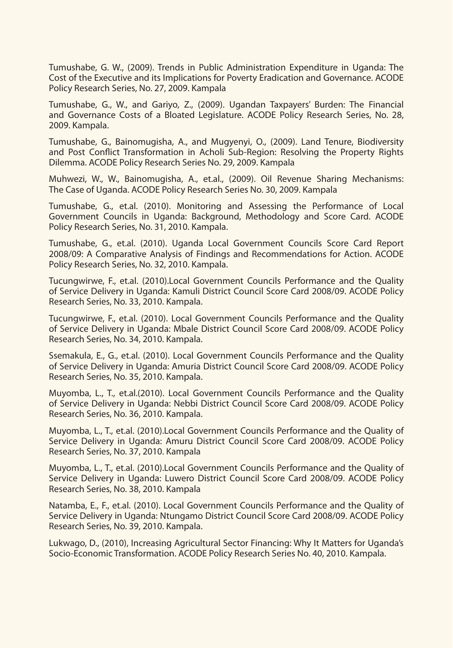Tumushabe, G. W., (2009). Trends in Public Administration Expenditure in Uganda: The Cost of the Executive and its Implications for Poverty Eradication and Governance. ACODE Policy Research Series, No. 27, 2009. Kampala

Tumushabe, G., W., and Gariyo, Z., (2009). Ugandan Taxpayers' Burden: The Financial and Governance Costs of a Bloated Legislature. ACODE Policy Research Series, No. 28, 2009. Kampala.

Tumushabe, G., Bainomugisha, A., and Mugyenyi, O., (2009). Land Tenure, Biodiversity and Post Conflict Transformation in Acholi Sub-Region: Resolving the Property Rights Dilemma. ACODE Policy Research Series No. 29, 2009. Kampala

Muhwezi, W., W., Bainomugisha, A., et.al., (2009). Oil Revenue Sharing Mechanisms: The Case of Uganda. ACODE Policy Research Series No. 30, 2009. Kampala

Tumushabe, G., et.al. (2010). Monitoring and Assessing the Performance of Local Government Councils in Uganda: Background, Methodology and Score Card. ACODE Policy Research Series, No. 31, 2010. Kampala.

Tumushabe, G., et.al. (2010). Uganda Local Government Councils Score Card Report 2008/09: A Comparative Analysis of Findings and Recommendations for Action. ACODE Policy Research Series, No. 32, 2010. Kampala.

Tucungwirwe, F., et.al. (2010).Local Government Councils Performance and the Quality of Service Delivery in Uganda: Kamuli District Council Score Card 2008/09. ACODE Policy Research Series, No. 33, 2010. Kampala.

Tucungwirwe, F., et.al. (2010). Local Government Councils Performance and the Quality of Service Delivery in Uganda: Mbale District Council Score Card 2008/09. ACODE Policy Research Series, No. 34, 2010. Kampala.

Ssemakula, E., G., et.al. (2010). Local Government Councils Performance and the Quality of Service Delivery in Uganda: Amuria District Council Score Card 2008/09. ACODE Policy Research Series, No. 35, 2010. Kampala.

Muyomba, L., T., et.al.(2010). Local Government Councils Performance and the Quality of Service Delivery in Uganda: Nebbi District Council Score Card 2008/09. ACODE Policy Research Series, No. 36, 2010. Kampala.

Muyomba, L., T., et.al. (2010).Local Government Councils Performance and the Quality of Service Delivery in Uganda: Amuru District Council Score Card 2008/09. ACODE Policy Research Series, No. 37, 2010. Kampala

Muyomba, L., T., et.al. (2010).Local Government Councils Performance and the Quality of Service Delivery in Uganda: Luwero District Council Score Card 2008/09. ACODE Policy Research Series, No. 38, 2010. Kampala

Natamba, E., F., et.al. (2010). Local Government Councils Performance and the Quality of Service Delivery in Uganda: Ntungamo District Council Score Card 2008/09. ACODE Policy Research Series, No. 39, 2010. Kampala.

Lukwago, D., (2010), Increasing Agricultural Sector Financing: Why It Matters for Uganda's Socio-Economic Transformation. ACODE Policy Research Series No. 40, 2010. Kampala.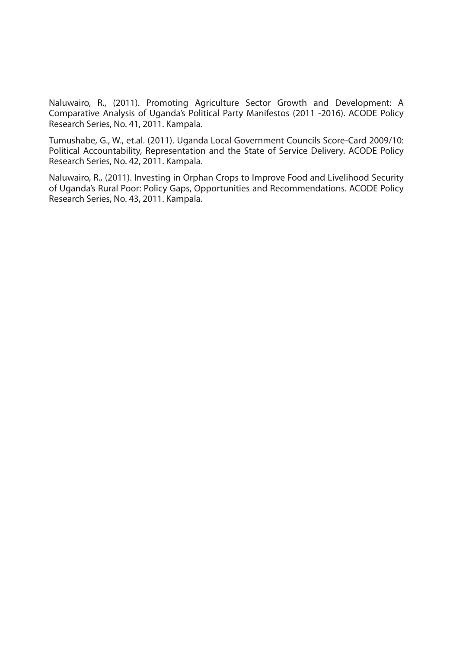Naluwairo, R., (2011). Promoting Agriculture Sector Growth and Development: A Comparative Analysis of Uganda's Political Party Manifestos (2011 -2016). ACODE Policy Research Series, No. 41, 2011. Kampala.

Tumushabe, G., W., et.al. (2011). Uganda Local Government Councils Score-Card 2009/10: Political Accountability, Representation and the State of Service Delivery. ACODE Policy Research Series, No. 42, 2011. Kampala.

Naluwairo, R., (2011). Investing in Orphan Crops to Improve Food and Livelihood Security of Uganda's Rural Poor: Policy Gaps, Opportunities and Recommendations. ACODE Policy Research Series, No. 43, 2011. Kampala.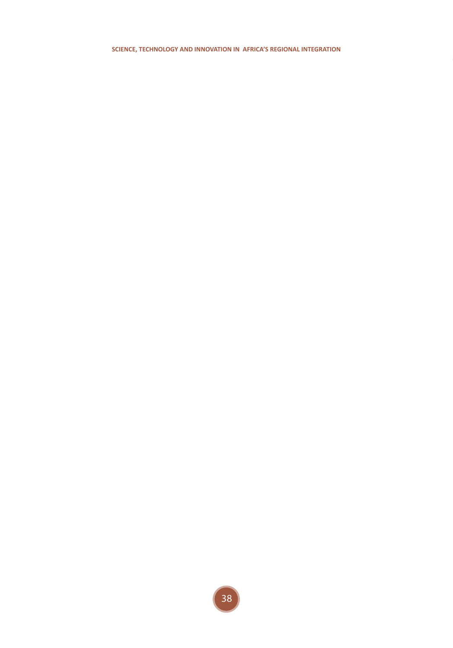**SCIENCE, TECHNOLOGY AND INNOVATION IN AFRICA'S REGIONAL INTEGRATION**